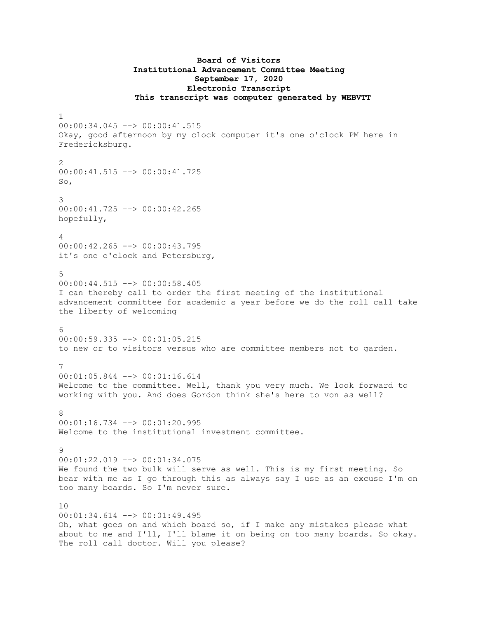## **Board of Visitors Institutional Advancement Committee Meeting September 17, 2020 Electronic Transcript This transcript was computer generated by WEBVTT**

```
1
00:00:34.045 --> 00:00:41.515
Okay, good afternoon by my clock computer it's one o'clock PM here in
Fredericksburg.
2
00:00:41.515 --> 00:00:41.725
So,
3
00:00:41.725 --> 00:00:42.265
hopefully,
4
00:00:42.265 --> 00:00:43.795
it's one o'clock and Petersburg,
5
00:00:44.515 --> 00:00:58.405
I can thereby call to order the first meeting of the institutional 
advancement committee for academic a year before we do the roll call take 
the liberty of welcoming
6
00:00:59.335 --> 00:01:05.215
to new or to visitors versus who are committee members not to garden.
7
00:01:05.844 --> 00:01:16.614
Welcome to the committee. Well, thank you very much. We look forward to 
working with you. And does Gordon think she's here to von as well?
8
00:01:16.734 --> 00:01:20.995
Welcome to the institutional investment committee.
9
00:01:22.019 --> 00:01:34.075
We found the two bulk will serve as well. This is my first meeting. So
bear with me as I go through this as always say I use as an excuse I'm on 
too many boards. So I'm never sure.
10
00:01:34.614 --> 00:01:49.495
Oh, what goes on and which board so, if I make any mistakes please what 
about to me and I'll, I'll blame it on being on too many boards. So okay. 
The roll call doctor. Will you please?
```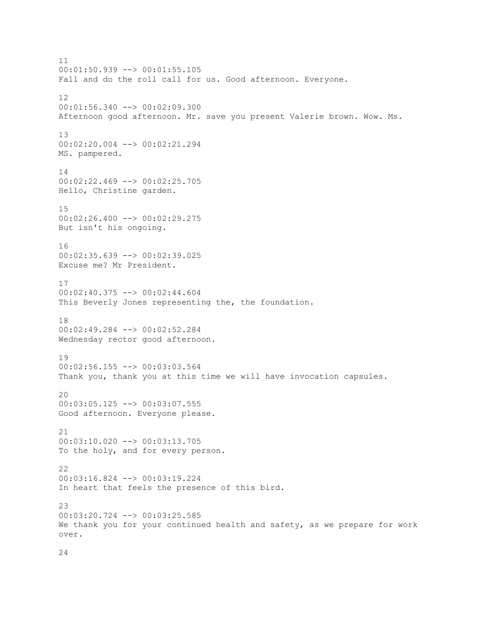11 00:01:50.939 --> 00:01:55.105 Fall and do the roll call for us. Good afternoon. Everyone. 12 00:01:56.340 --> 00:02:09.300 Afternoon good afternoon. Mr. save you present Valerie brown. Wow. Ms. 13 00:02:20.004 --> 00:02:21.294 MS. pampered. 14 00:02:22.469 --> 00:02:25.705 Hello, Christine garden. 15 00:02:26.400 --> 00:02:29.275 But isn't his ongoing. 16 00:02:35.639 --> 00:02:39.025 Excuse me? Mr President. 17 00:02:40.375 --> 00:02:44.604 This Beverly Jones representing the, the foundation. 18 00:02:49.284 --> 00:02:52.284 Wednesday rector good afternoon. 19  $00:02:56.155$   $\leftarrow$   $>$  00:03:03.564 Thank you, thank you at this time we will have invocation capsules. 20 00:03:05.125 --> 00:03:07.555 Good afternoon. Everyone please.  $21$ 00:03:10.020 --> 00:03:13.705 To the holy, and for every person. 22 00:03:16.824 --> 00:03:19.224 In heart that feels the presence of this bird.  $2<sup>2</sup>$ 00:03:20.724 --> 00:03:25.585 We thank you for your continued health and safety, as we prepare for work over.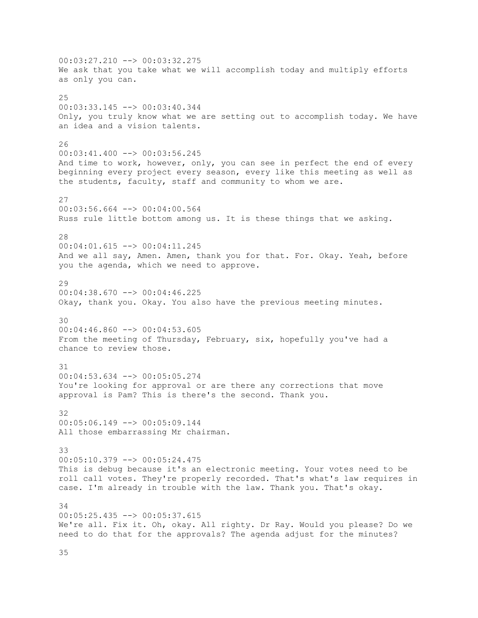$00:03:27.210$  -->  $00:03:32.275$ We ask that you take what we will accomplish today and multiply efforts as only you can. 25 00:03:33.145 --> 00:03:40.344 Only, you truly know what we are setting out to accomplish today. We have an idea and a vision talents. 26 00:03:41.400 --> 00:03:56.245 And time to work, however, only, you can see in perfect the end of every beginning every project every season, every like this meeting as well as the students, faculty, staff and community to whom we are. 27 00:03:56.664 --> 00:04:00.564 Russ rule little bottom among us. It is these things that we asking. 28 00:04:01.615 --> 00:04:11.245 And we all say, Amen. Amen, thank you for that. For. Okay. Yeah, before you the agenda, which we need to approve. 29  $00:04:38.670$  -->  $00:04:46.225$ Okay, thank you. Okay. You also have the previous meeting minutes. 30 00:04:46.860 --> 00:04:53.605 From the meeting of Thursday, February, six, hopefully you've had a chance to review those. 31 00:04:53.634 --> 00:05:05.274 You're looking for approval or are there any corrections that move approval is Pam? This is there's the second. Thank you. 32 00:05:06.149 --> 00:05:09.144 All those embarrassing Mr chairman. 33 00:05:10.379 --> 00:05:24.475 This is debug because it's an electronic meeting. Your votes need to be roll call votes. They're properly recorded. That's what's law requires in case. I'm already in trouble with the law. Thank you. That's okay. 34  $00:05:25.435$   $\leftarrow$   $>$  00:05:37.615 We're all. Fix it. Oh, okay. All righty. Dr Ray. Would you please? Do we need to do that for the approvals? The agenda adjust for the minutes?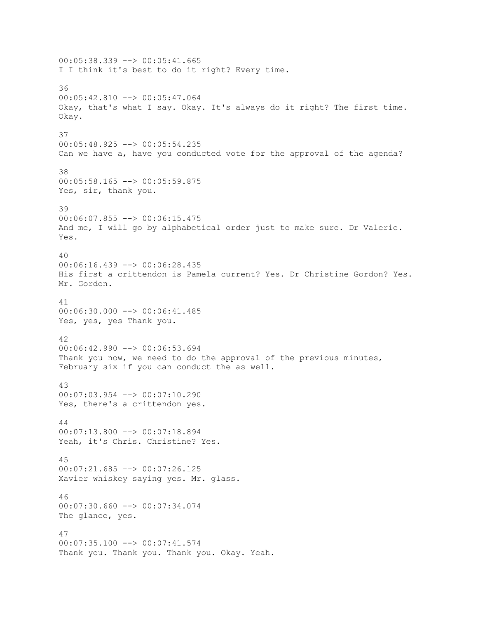00:05:38.339 --> 00:05:41.665 I I think it's best to do it right? Every time. 36 00:05:42.810 --> 00:05:47.064 Okay, that's what I say. Okay. It's always do it right? The first time. Okay. 37 00:05:48.925 --> 00:05:54.235 Can we have a, have you conducted vote for the approval of the agenda? 38 00:05:58.165 --> 00:05:59.875 Yes, sir, thank you. 39 00:06:07.855 --> 00:06:15.475 And me, I will go by alphabetical order just to make sure. Dr Valerie. Yes. 40 00:06:16.439 --> 00:06:28.435 His first a crittendon is Pamela current? Yes. Dr Christine Gordon? Yes. Mr. Gordon. 41  $00:06:30.000$  -->  $00:06:41.485$ Yes, yes, yes Thank you. 42 00:06:42.990 --> 00:06:53.694 Thank you now, we need to do the approval of the previous minutes, February six if you can conduct the as well. 43 00:07:03.954 --> 00:07:10.290 Yes, there's a crittendon yes. 44 00:07:13.800 --> 00:07:18.894 Yeah, it's Chris. Christine? Yes. 45 00:07:21.685 --> 00:07:26.125 Xavier whiskey saying yes. Mr. glass. 46 00:07:30.660 --> 00:07:34.074 The glance, yes. 47 00:07:35.100 --> 00:07:41.574 Thank you. Thank you. Thank you. Okay. Yeah.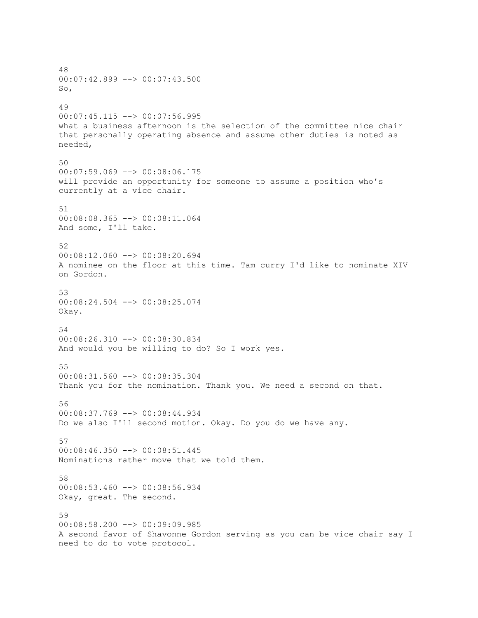48 00:07:42.899 --> 00:07:43.500 So, 49 00:07:45.115 --> 00:07:56.995 what a business afternoon is the selection of the committee nice chair that personally operating absence and assume other duties is noted as needed, 50  $00:07:59.069$  -->  $00:08:06.175$ will provide an opportunity for someone to assume a position who's currently at a vice chair. 51 00:08:08.365 --> 00:08:11.064 And some, I'll take. 52 00:08:12.060 --> 00:08:20.694 A nominee on the floor at this time. Tam curry I'd like to nominate XIV on Gordon. 53  $00:08:24.504$  -->  $00:08:25.074$ Okay. 54 00:08:26.310 --> 00:08:30.834 And would you be willing to do? So I work yes. 55 00:08:31.560 --> 00:08:35.304 Thank you for the nomination. Thank you. We need a second on that. 56 00:08:37.769 --> 00:08:44.934 Do we also I'll second motion. Okay. Do you do we have any. 57 00:08:46.350 --> 00:08:51.445 Nominations rather move that we told them. 58 00:08:53.460 --> 00:08:56.934 Okay, great. The second. 59 00:08:58.200 --> 00:09:09.985 A second favor of Shavonne Gordon serving as you can be vice chair say I need to do to vote protocol.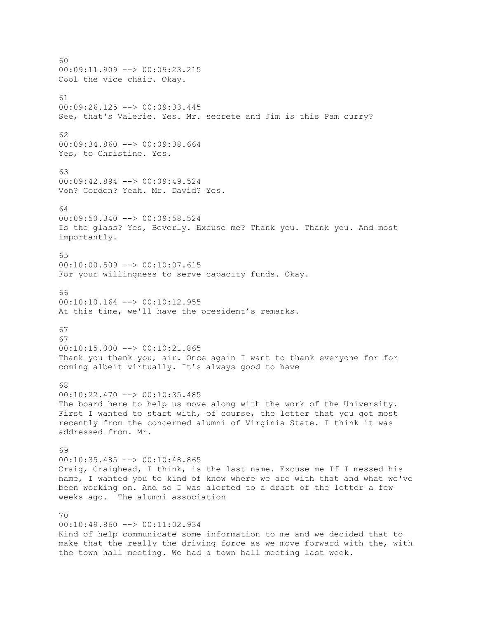60  $00:09:11.909$  -->  $00:09:23.215$ Cool the vice chair. Okay. 61 00:09:26.125 --> 00:09:33.445 See, that's Valerie. Yes. Mr. secrete and Jim is this Pam curry? 62 00:09:34.860 --> 00:09:38.664 Yes, to Christine. Yes. 63 00:09:42.894 --> 00:09:49.524 Von? Gordon? Yeah. Mr. David? Yes.  $64$ 00:09:50.340 --> 00:09:58.524 Is the glass? Yes, Beverly. Excuse me? Thank you. Thank you. And most importantly. 65 00:10:00.509 --> 00:10:07.615 For your willingness to serve capacity funds. Okay. 66  $00:10:10.164$   $\leftarrow$   $>$  00:10:12.955 At this time, we'll have the president's remarks. 67 67  $00:10:15.000$  -->  $00:10:21.865$ Thank you thank you, sir. Once again I want to thank everyone for for coming albeit virtually. It's always good to have 68 00:10:22.470 --> 00:10:35.485 The board here to help us move along with the work of the University. First I wanted to start with, of course, the letter that you got most recently from the concerned alumni of Virginia State. I think it was addressed from. Mr. 69 00:10:35.485 --> 00:10:48.865 Craig, Craighead, I think, is the last name. Excuse me If I messed his name, I wanted you to kind of know where we are with that and what we've been working on. And so I was alerted to a draft of the letter a few weeks ago. The alumni association 70 00:10:49.860 --> 00:11:02.934 Kind of help communicate some information to me and we decided that to make that the really the driving force as we move forward with the, with the town hall meeting. We had a town hall meeting last week.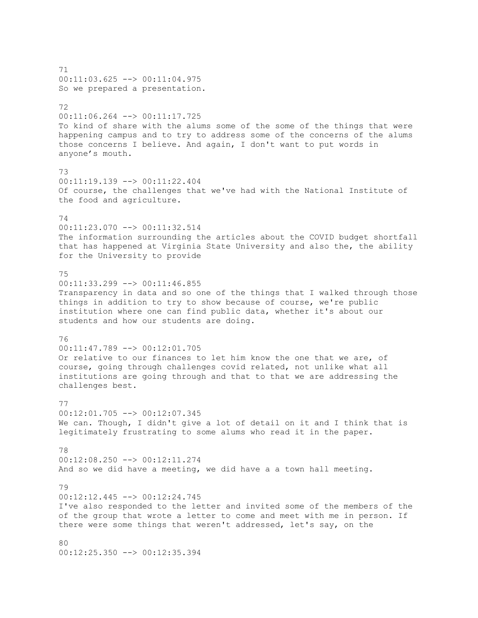71 00:11:03.625 --> 00:11:04.975 So we prepared a presentation. 72 00:11:06.264 --> 00:11:17.725 To kind of share with the alums some of the some of the things that were happening campus and to try to address some of the concerns of the alums those concerns I believe. And again, I don't want to put words in anyone's mouth. 73 00:11:19.139 --> 00:11:22.404 Of course, the challenges that we've had with the National Institute of the food and agriculture. 74 00:11:23.070 --> 00:11:32.514 The information surrounding the articles about the COVID budget shortfall that has happened at Virginia State University and also the, the ability for the University to provide 75 00:11:33.299 --> 00:11:46.855 Transparency in data and so one of the things that I walked through those things in addition to try to show because of course, we're public institution where one can find public data, whether it's about our students and how our students are doing. 76 00:11:47.789 --> 00:12:01.705 Or relative to our finances to let him know the one that we are, of course, going through challenges covid related, not unlike what all institutions are going through and that to that we are addressing the challenges best. 77 00:12:01.705 --> 00:12:07.345 We can. Though, I didn't give a lot of detail on it and I think that is legitimately frustrating to some alums who read it in the paper. 78 00:12:08.250 --> 00:12:11.274 And so we did have a meeting, we did have a a town hall meeting. 79 00:12:12.445 --> 00:12:24.745 I've also responded to the letter and invited some of the members of the of the group that wrote a letter to come and meet with me in person. If there were some things that weren't addressed, let's say, on the 80 00:12:25.350 --> 00:12:35.394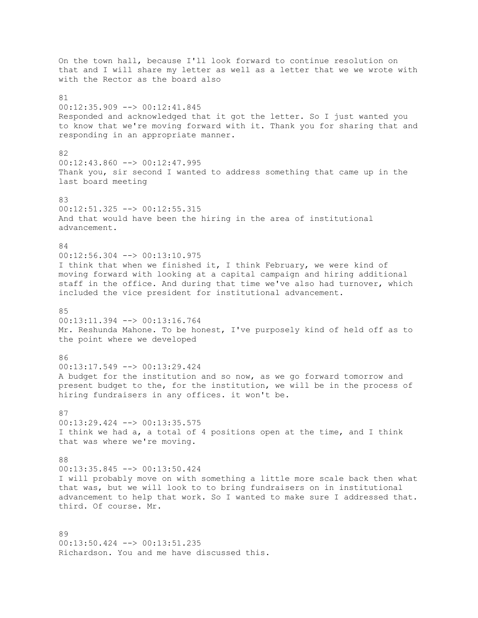On the town hall, because I'll look forward to continue resolution on that and I will share my letter as well as a letter that we we wrote with with the Rector as the board also 81 00:12:35.909 --> 00:12:41.845 Responded and acknowledged that it got the letter. So I just wanted you to know that we're moving forward with it. Thank you for sharing that and responding in an appropriate manner. 82 00:12:43.860 --> 00:12:47.995 Thank you, sir second I wanted to address something that came up in the last board meeting 83 00:12:51.325 --> 00:12:55.315 And that would have been the hiring in the area of institutional advancement. 84 00:12:56.304 --> 00:13:10.975 I think that when we finished it, I think February, we were kind of moving forward with looking at a capital campaign and hiring additional staff in the office. And during that time we've also had turnover, which included the vice president for institutional advancement. 85 00:13:11.394 --> 00:13:16.764 Mr. Reshunda Mahone. To be honest, I've purposely kind of held off as to the point where we developed 86  $00:13:17.549$  -->  $00:13:29.424$ A budget for the institution and so now, as we go forward tomorrow and present budget to the, for the institution, we will be in the process of hiring fundraisers in any offices. it won't be. 87 00:13:29.424 --> 00:13:35.575 I think we had a, a total of 4 positions open at the time, and I think that was where we're moving. 88 00:13:35.845 --> 00:13:50.424 I will probably move on with something a little more scale back then what that was, but we will look to to bring fundraisers on in institutional advancement to help that work. So I wanted to make sure I addressed that. third. Of course. Mr. 89 00:13:50.424 --> 00:13:51.235

Richardson. You and me have discussed this.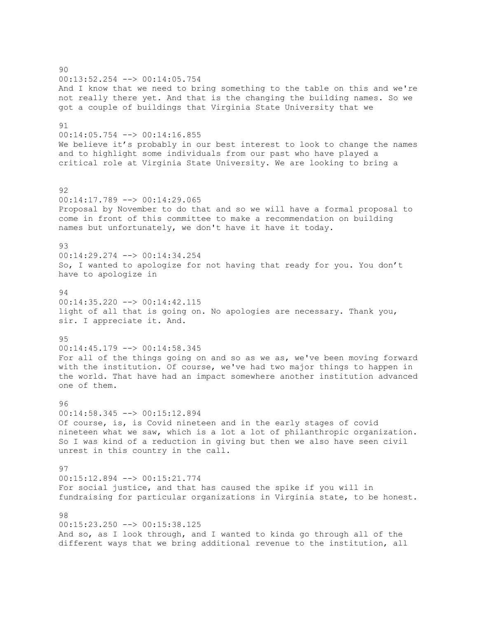90 00:13:52.254 --> 00:14:05.754 And I know that we need to bring something to the table on this and we're not really there yet. And that is the changing the building names. So we got a couple of buildings that Virginia State University that we 91 00:14:05.754 --> 00:14:16.855 We believe it's probably in our best interest to look to change the names and to highlight some individuals from our past who have played a critical role at Virginia State University. We are looking to bring a 92  $00:14:17.789$   $\longrightarrow$   $00:14:29.065$ Proposal by November to do that and so we will have a formal proposal to come in front of this committee to make a recommendation on building names but unfortunately, we don't have it have it today. 93 00:14:29.274 --> 00:14:34.254 So, I wanted to apologize for not having that ready for you. You don't have to apologize in 94  $00:14:35.220$  -->  $00:14:42.115$ light of all that is going on. No apologies are necessary. Thank you, sir. I appreciate it. And. 95 00:14:45.179 --> 00:14:58.345 For all of the things going on and so as we as, we've been moving forward with the institution. Of course, we've had two major things to happen in the world. That have had an impact somewhere another institution advanced one of them. 96 00:14:58.345 --> 00:15:12.894 Of course, is, is Covid nineteen and in the early stages of covid nineteen what we saw, which is a lot a lot of philanthropic organization. So I was kind of a reduction in giving but then we also have seen civil unrest in this country in the call. 97 00:15:12.894 --> 00:15:21.774 For social justice, and that has caused the spike if you will in fundraising for particular organizations in Virginia state, to be honest. 98 00:15:23.250 --> 00:15:38.125 And so, as I look through, and I wanted to kinda go through all of the different ways that we bring additional revenue to the institution, all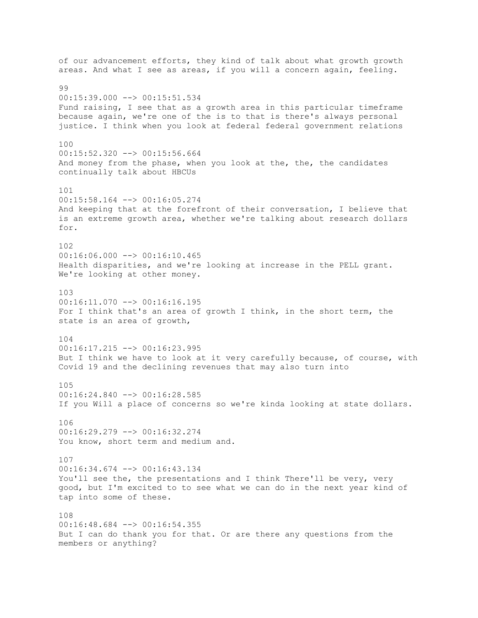of our advancement efforts, they kind of talk about what growth growth areas. And what I see as areas, if you will a concern again, feeling. 99 00:15:39.000 --> 00:15:51.534 Fund raising, I see that as a growth area in this particular timeframe because again, we're one of the is to that is there's always personal justice. I think when you look at federal federal government relations 100 00:15:52.320 --> 00:15:56.664 And money from the phase, when you look at the, the, the candidates continually talk about HBCUs 101 00:15:58.164 --> 00:16:05.274 And keeping that at the forefront of their conversation, I believe that is an extreme growth area, whether we're talking about research dollars for. 102  $00:16:06.000$  -->  $00:16:10.465$ Health disparities, and we're looking at increase in the PELL grant. We're looking at other money. 103 00:16:11.070 --> 00:16:16.195 For I think that's an area of growth I think, in the short term, the state is an area of growth, 104 00:16:17.215 --> 00:16:23.995 But I think we have to look at it very carefully because, of course, with Covid 19 and the declining revenues that may also turn into 105 00:16:24.840 --> 00:16:28.585 If you Will a place of concerns so we're kinda looking at state dollars. 106 00:16:29.279 --> 00:16:32.274 You know, short term and medium and. 107 00:16:34.674 --> 00:16:43.134 You'll see the, the presentations and I think There'll be very, very good, but I'm excited to to see what we can do in the next year kind of tap into some of these. 108 00:16:48.684 --> 00:16:54.355 But I can do thank you for that. Or are there any questions from the members or anything?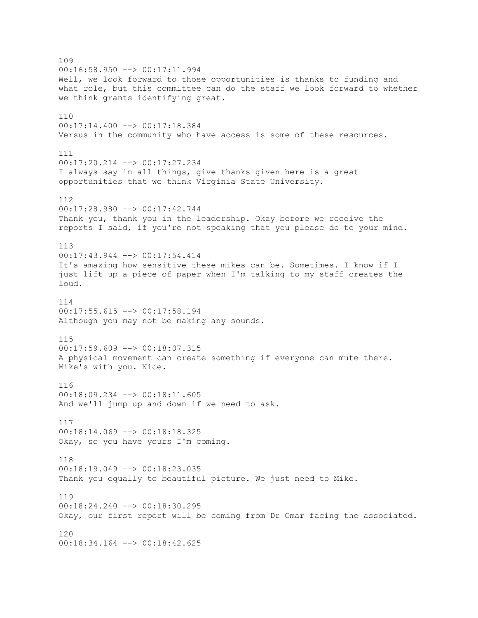109 00:16:58.950 --> 00:17:11.994 Well, we look forward to those opportunities is thanks to funding and what role, but this committee can do the staff we look forward to whether we think grants identifying great. 110 00:17:14.400 --> 00:17:18.384 Versus in the community who have access is some of these resources. 111 00:17:20.214 --> 00:17:27.234 I always say in all things, give thanks given here is a great opportunities that we think Virginia State University. 112 00:17:28.980 --> 00:17:42.744 Thank you, thank you in the leadership. Okay before we receive the reports I said, if you're not speaking that you please do to your mind. 113 00:17:43.944 --> 00:17:54.414 It's amazing how sensitive these mikes can be. Sometimes. I know if I just lift up a piece of paper when I'm talking to my staff creates the loud. 114 00:17:55.615 --> 00:17:58.194 Although you may not be making any sounds. 115 00:17:59.609 --> 00:18:07.315 A physical movement can create something if everyone can mute there. Mike's with you. Nice. 116 00:18:09.234 --> 00:18:11.605 And we'll jump up and down if we need to ask. 117 00:18:14.069 --> 00:18:18.325 Okay, so you have yours I'm coming. 118  $00:18:19.049$  -->  $00:18:23.035$ Thank you equally to beautiful picture. We just need to Mike. 119 00:18:24.240 --> 00:18:30.295 Okay, our first report will be coming from Dr Omar facing the associated. 120 00:18:34.164 --> 00:18:42.625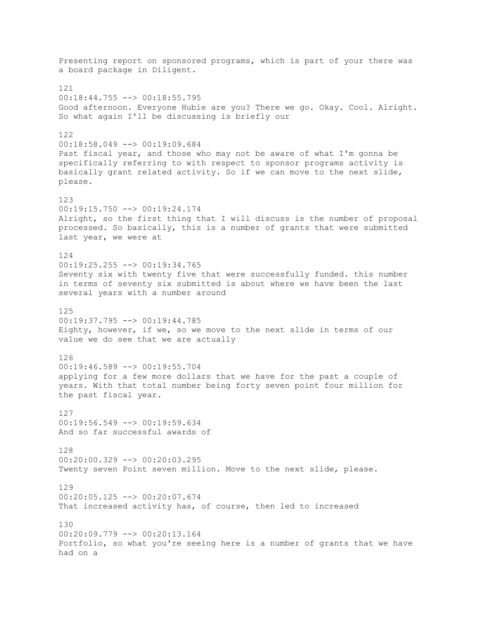Presenting report on sponsored programs, which is part of your there was a board package in Diligent. 121 00:18:44.755 --> 00:18:55.795 Good afternoon. Everyone Hubie are you? There we go. Okay. Cool. Alright. So what again I'll be discussing is briefly our 122 00:18:58.049 --> 00:19:09.684 Past fiscal year, and those who may not be aware of what I'm gonna be specifically referring to with respect to sponsor programs activity is basically grant related activity. So if we can move to the next slide, please. 123 00:19:15.750 --> 00:19:24.174 Alright, so the first thing that I will discuss is the number of proposal processed. So basically, this is a number of grants that were submitted last year, we were at 124 00:19:25.255 --> 00:19:34.765 Seventy six with twenty five that were successfully funded. this number in terms of seventy six submitted is about where we have been the last several years with a number around 125 00:19:37.795 --> 00:19:44.785 Eighty, however, if we, so we move to the next slide in terms of our value we do see that we are actually 126  $00:19:46.589$  -->  $00:19:55.704$ applying for a few more dollars that we have for the past a couple of years. With that total number being forty seven point four million for the past fiscal year. 127 00:19:56.549 --> 00:19:59.634 And so far successful awards of 128 00:20:00.329 --> 00:20:03.295 Twenty seven Point seven million. Move to the next slide, please. 129 00:20:05.125 --> 00:20:07.674 That increased activity has, of course, then led to increased 130  $00:20:09.779$  -->  $00:20:13.164$ Portfolio, so what you're seeing here is a number of grants that we have had on a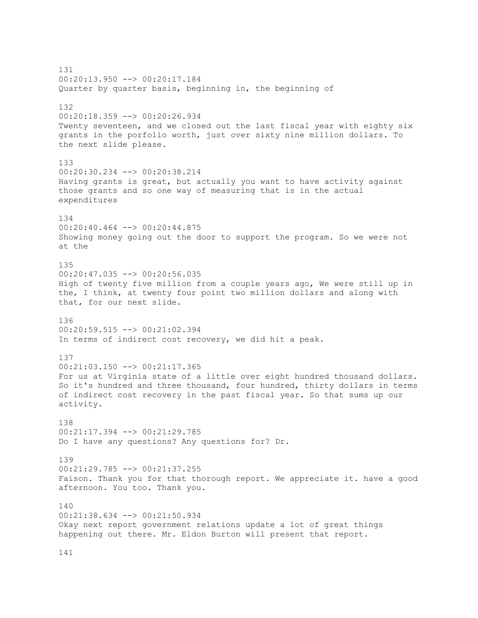131 00:20:13.950 --> 00:20:17.184 Quarter by quarter basis, beginning in, the beginning of 132 00:20:18.359 --> 00:20:26.934 Twenty seventeen, and we closed out the last fiscal year with eighty six grants in the porfolio worth, just over sixty nine million dollars. To the next slide please. 133  $00:20:30.234$   $\longrightarrow$   $00:20:38.214$ Having grants is great, but actually you want to have activity against those grants and so one way of measuring that is in the actual expenditures 134 00:20:40.464 --> 00:20:44.875 Showing money going out the door to support the program. So we were not at the 135 00:20:47.035 --> 00:20:56.035 High of twenty five million from a couple years ago, We were still up in the, I think, at twenty four point two million dollars and along with that, for our next slide. 136 00:20:59.515 --> 00:21:02.394 In terms of indirect cost recovery, we did hit a peak. 137  $00:21:03.150$  -->  $00:21:17.365$ For us at Virginia state of a little over eight hundred thousand dollars. So it's hundred and three thousand, four hundred, thirty dollars in terms of indirect cost recovery in the past fiscal year. So that sums up our activity. 138 00:21:17.394 --> 00:21:29.785 Do I have any questions? Any questions for? Dr. 139 00:21:29.785 --> 00:21:37.255 Faison. Thank you for that thorough report. We appreciate it. have a good afternoon. You too. Thank you.  $140$ 00:21:38.634 --> 00:21:50.934 Okay next report government relations update a lot of great things happening out there. Mr. Eldon Burton will present that report.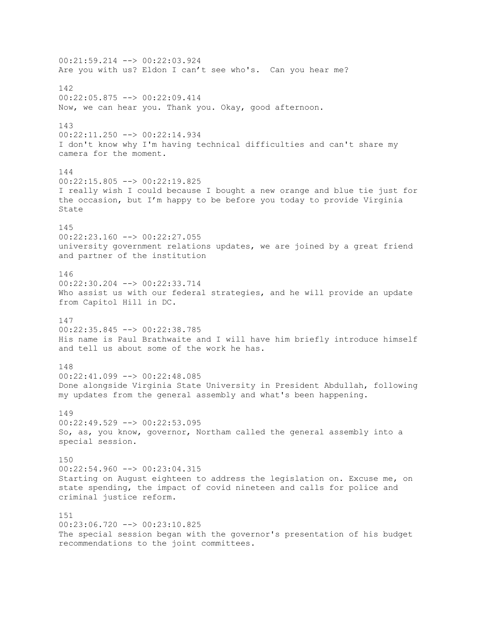00:21:59.214 --> 00:22:03.924 Are you with us? Eldon I can't see who's. Can you hear me? 142 00:22:05.875 --> 00:22:09.414 Now, we can hear you. Thank you. Okay, good afternoon. 143 00:22:11.250 --> 00:22:14.934 I don't know why I'm having technical difficulties and can't share my camera for the moment. 144 00:22:15.805 --> 00:22:19.825 I really wish I could because I bought a new orange and blue tie just for the occasion, but I'm happy to be before you today to provide Virginia State 145 00:22:23.160 --> 00:22:27.055 university government relations updates, we are joined by a great friend and partner of the institution 146 00:22:30.204 --> 00:22:33.714 Who assist us with our federal strategies, and he will provide an update from Capitol Hill in DC. 147 00:22:35.845 --> 00:22:38.785 His name is Paul Brathwaite and I will have him briefly introduce himself and tell us about some of the work he has. 148 00:22:41.099 --> 00:22:48.085 Done alongside Virginia State University in President Abdullah, following my updates from the general assembly and what's been happening. 149 00:22:49.529 --> 00:22:53.095 So, as, you know, governor, Northam called the general assembly into a special session. 150  $00:22:54.960$  -->  $00:23:04.315$ Starting on August eighteen to address the legislation on. Excuse me, on state spending, the impact of covid nineteen and calls for police and criminal justice reform. 151 00:23:06.720 --> 00:23:10.825 The special session began with the governor's presentation of his budget recommendations to the joint committees.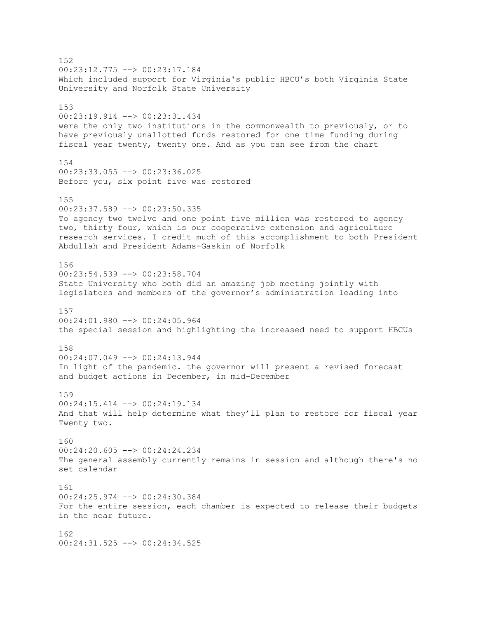152 00:23:12.775 --> 00:23:17.184 Which included support for Virginia's public HBCU's both Virginia State University and Norfolk State University 153 00:23:19.914 --> 00:23:31.434 were the only two institutions in the commonwealth to previously, or to have previously unallotted funds restored for one time funding during fiscal year twenty, twenty one. And as you can see from the chart 154  $00:23:33.055$   $\rightarrow$   $00:23:36.025$ Before you, six point five was restored 155 00:23:37.589 --> 00:23:50.335 To agency two twelve and one point five million was restored to agency two, thirty four, which is our cooperative extension and agriculture research services. I credit much of this accomplishment to both President Abdullah and President Adams-Gaskin of Norfolk 156 00:23:54.539 --> 00:23:58.704 State University who both did an amazing job meeting jointly with legislators and members of the governor's administration leading into 157 00:24:01.980 --> 00:24:05.964 the special session and highlighting the increased need to support HBCUs 158 00:24:07.049 --> 00:24:13.944 In light of the pandemic. the governor will present a revised forecast and budget actions in December, in mid-December 159 00:24:15.414 --> 00:24:19.134 And that will help determine what they'll plan to restore for fiscal year Twenty two. 160  $00:24:20.605$  -->  $00:24:24.234$ The general assembly currently remains in session and although there's no set calendar 161 00:24:25.974 --> 00:24:30.384 For the entire session, each chamber is expected to release their budgets in the near future. 162 00:24:31.525 --> 00:24:34.525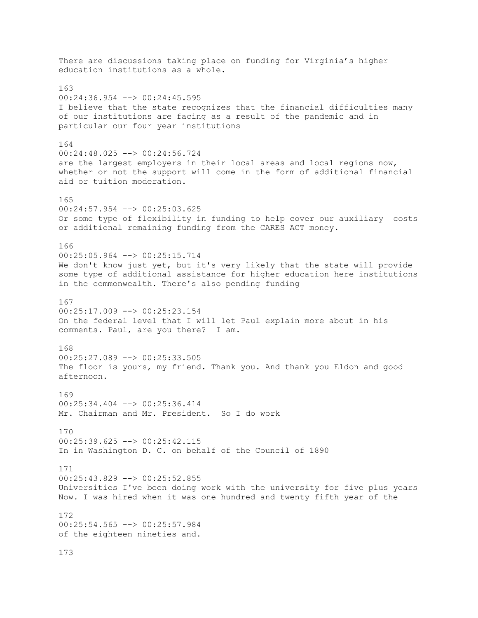There are discussions taking place on funding for Virginia's higher education institutions as a whole. 163 00:24:36.954 --> 00:24:45.595 I believe that the state recognizes that the financial difficulties many of our institutions are facing as a result of the pandemic and in particular our four year institutions 164 00:24:48.025 --> 00:24:56.724 are the largest employers in their local areas and local regions now, whether or not the support will come in the form of additional financial aid or tuition moderation. 165 00:24:57.954 --> 00:25:03.625 Or some type of flexibility in funding to help cover our auxiliary costs or additional remaining funding from the CARES ACT money. 166 00:25:05.964 --> 00:25:15.714 We don't know just yet, but it's very likely that the state will provide some type of additional assistance for higher education here institutions in the commonwealth. There's also pending funding 167  $00:25:17.009$  -->  $00:25:23.154$ On the federal level that I will let Paul explain more about in his comments. Paul, are you there? I am. 168 00:25:27.089 --> 00:25:33.505 The floor is yours, my friend. Thank you. And thank you Eldon and good afternoon. 169 00:25:34.404 --> 00:25:36.414 Mr. Chairman and Mr. President. So I do work 170 00:25:39.625 --> 00:25:42.115 In in Washington D. C. on behalf of the Council of 1890 171 00:25:43.829 --> 00:25:52.855 Universities I've been doing work with the university for five plus years Now. I was hired when it was one hundred and twenty fifth year of the 172 00:25:54.565 --> 00:25:57.984 of the eighteen nineties and. 173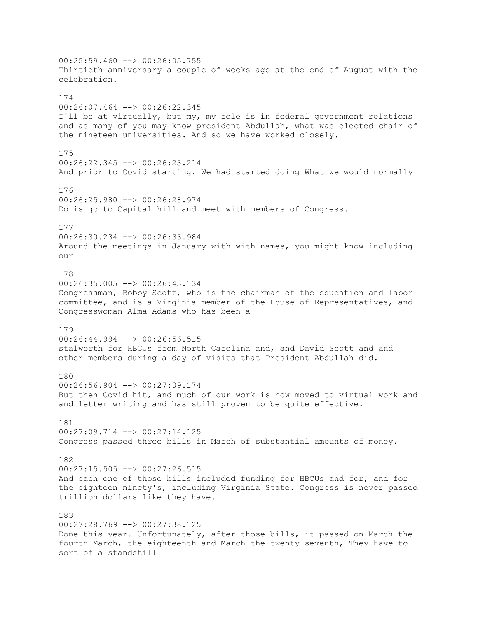$00:25:59.460$  -->  $00:26:05.755$ Thirtieth anniversary a couple of weeks ago at the end of August with the celebration. 174 00:26:07.464 --> 00:26:22.345 I'll be at virtually, but my, my role is in federal government relations and as many of you may know president Abdullah, what was elected chair of the nineteen universities. And so we have worked closely. 175 00:26:22.345 --> 00:26:23.214 And prior to Covid starting. We had started doing What we would normally 176  $00:26:25.980$  -->  $00:26:28.974$ Do is go to Capital hill and meet with members of Congress. 177 00:26:30.234 --> 00:26:33.984 Around the meetings in January with with names, you might know including our 178 00:26:35.005 --> 00:26:43.134 Congressman, Bobby Scott, who is the chairman of the education and labor committee, and is a Virginia member of the House of Representatives, and Congresswoman Alma Adams who has been a 179 00:26:44.994 --> 00:26:56.515 stalworth for HBCUs from North Carolina and, and David Scott and and other members during a day of visits that President Abdullah did. 180 00:26:56.904 --> 00:27:09.174 But then Covid hit, and much of our work is now moved to virtual work and and letter writing and has still proven to be quite effective. 181 00:27:09.714 --> 00:27:14.125 Congress passed three bills in March of substantial amounts of money. 182  $00:27:15.505$  -->  $00:27:26.515$ And each one of those bills included funding for HBCUs and for, and for the eighteen ninety's, including Virginia State. Congress is never passed trillion dollars like they have. 183 00:27:28.769 --> 00:27:38.125 Done this year. Unfortunately, after those bills, it passed on March the fourth March, the eighteenth and March the twenty seventh, They have to sort of a standstill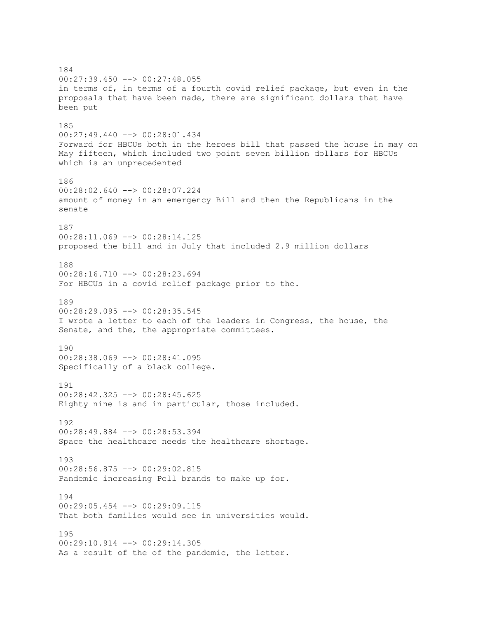184 00:27:39.450 --> 00:27:48.055 in terms of, in terms of a fourth covid relief package, but even in the proposals that have been made, there are significant dollars that have been put 185 00:27:49.440 --> 00:28:01.434 Forward for HBCUs both in the heroes bill that passed the house in may on May fifteen, which included two point seven billion dollars for HBCUs which is an unprecedented 186 00:28:02.640 --> 00:28:07.224 amount of money in an emergency Bill and then the Republicans in the senate 187  $00:28:11.069$  -->  $00:28:14.125$ proposed the bill and in July that included 2.9 million dollars 188 00:28:16.710 --> 00:28:23.694 For HBCUs in a covid relief package prior to the. 189  $00:28:29.095$   $\longrightarrow$   $00:28:35.545$ I wrote a letter to each of the leaders in Congress, the house, the Senate, and the, the appropriate committees. 190 00:28:38.069 --> 00:28:41.095 Specifically of a black college. 191 00:28:42.325 --> 00:28:45.625 Eighty nine is and in particular, those included. 192 00:28:49.884 --> 00:28:53.394 Space the healthcare needs the healthcare shortage. 193 00:28:56.875 --> 00:29:02.815 Pandemic increasing Pell brands to make up for. 194 00:29:05.454 --> 00:29:09.115 That both families would see in universities would. 195 00:29:10.914 --> 00:29:14.305 As a result of the of the pandemic, the letter.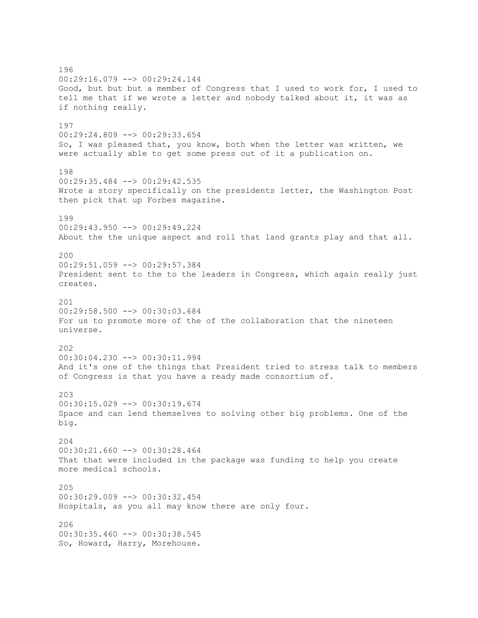196 00:29:16.079 --> 00:29:24.144 Good, but but but a member of Congress that I used to work for, I used to tell me that if we wrote a letter and nobody talked about it, it was as if nothing really. 197 00:29:24.809 --> 00:29:33.654 So, I was pleased that, you know, both when the letter was written, we were actually able to get some press out of it a publication on. 198 00:29:35.484 --> 00:29:42.535 Wrote a story specifically on the presidents letter, the Washington Post then pick that up Forbes magazine. 199 00:29:43.950 --> 00:29:49.224 About the the unique aspect and roll that land grants play and that all. 200 00:29:51.059 --> 00:29:57.384 President sent to the to the leaders in Congress, which again really just creates. 201 00:29:58.500 --> 00:30:03.684 For us to promote more of the of the collaboration that the nineteen universe. 202 00:30:04.230 --> 00:30:11.994 And it's one of the things that President tried to stress talk to members of Congress is that you have a ready made consortium of.  $203$ 00:30:15.029 --> 00:30:19.674 Space and can lend themselves to solving other big problems. One of the big. 204 00:30:21.660 --> 00:30:28.464 That that were included in the package was funding to help you create more medical schools. 205 00:30:29.009 --> 00:30:32.454 Hospitals, as you all may know there are only four. 206 00:30:35.460 --> 00:30:38.545 So, Howard, Harry, Morehouse.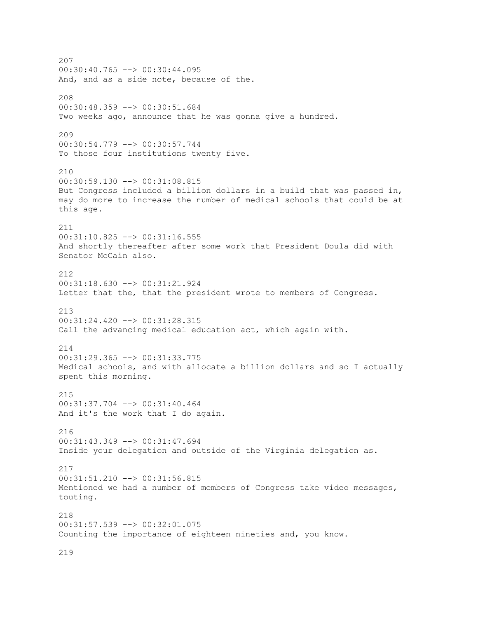207  $00:30:40.765$   $\longrightarrow$   $00:30:44.095$ And, and as a side note, because of the. 208 00:30:48.359 --> 00:30:51.684 Two weeks ago, announce that he was gonna give a hundred. 209 00:30:54.779 --> 00:30:57.744 To those four institutions twenty five. 210 00:30:59.130 --> 00:31:08.815 But Congress included a billion dollars in a build that was passed in, may do more to increase the number of medical schools that could be at this age. 211 00:31:10.825 --> 00:31:16.555 And shortly thereafter after some work that President Doula did with Senator McCain also. 212 00:31:18.630 --> 00:31:21.924 Letter that the, that the president wrote to members of Congress. 213 00:31:24.420 --> 00:31:28.315 Call the advancing medical education act, which again with. 214 00:31:29.365 --> 00:31:33.775 Medical schools, and with allocate a billion dollars and so I actually spent this morning. 215 00:31:37.704 --> 00:31:40.464 And it's the work that I do again. 216 00:31:43.349 --> 00:31:47.694 Inside your delegation and outside of the Virginia delegation as. 217 00:31:51.210 --> 00:31:56.815 Mentioned we had a number of members of Congress take video messages, touting. 218 00:31:57.539 --> 00:32:01.075 Counting the importance of eighteen nineties and, you know.

219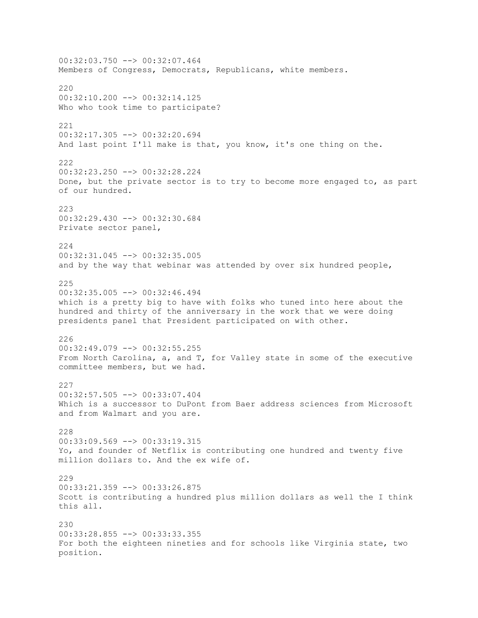00:32:03.750 --> 00:32:07.464 Members of Congress, Democrats, Republicans, white members. 220  $00:32:10.200$  -->  $00:32:14.125$ Who who took time to participate? 221 00:32:17.305 --> 00:32:20.694 And last point I'll make is that, you know, it's one thing on the. 222 00:32:23.250 --> 00:32:28.224 Done, but the private sector is to try to become more engaged to, as part of our hundred. 223 00:32:29.430 --> 00:32:30.684 Private sector panel, 224 00:32:31.045 --> 00:32:35.005 and by the way that webinar was attended by over six hundred people, 225 00:32:35.005 --> 00:32:46.494 which is a pretty big to have with folks who tuned into here about the hundred and thirty of the anniversary in the work that we were doing presidents panel that President participated on with other. 226 00:32:49.079 --> 00:32:55.255 From North Carolina, a, and T, for Valley state in some of the executive committee members, but we had. 227 00:32:57.505 --> 00:33:07.404 Which is a successor to DuPont from Baer address sciences from Microsoft and from Walmart and you are. 228 00:33:09.569 --> 00:33:19.315 Yo, and founder of Netflix is contributing one hundred and twenty five million dollars to. And the ex wife of. 229 00:33:21.359 --> 00:33:26.875 Scott is contributing a hundred plus million dollars as well the I think this all. 230 00:33:28.855 --> 00:33:33.355 For both the eighteen nineties and for schools like Virginia state, two position.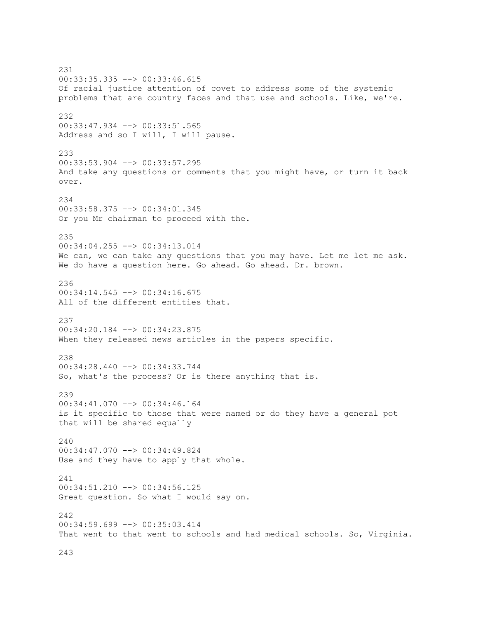231 00:33:35.335 --> 00:33:46.615 Of racial justice attention of covet to address some of the systemic problems that are country faces and that use and schools. Like, we're. 232 00:33:47.934 --> 00:33:51.565 Address and so I will, I will pause. 233 00:33:53.904 --> 00:33:57.295 And take any questions or comments that you might have, or turn it back over. 234 00:33:58.375 --> 00:34:01.345 Or you Mr chairman to proceed with the. 235 00:34:04.255 --> 00:34:13.014 We can, we can take any questions that you may have. Let me let me ask. We do have a question here. Go ahead. Go ahead. Dr. brown. 236 00:34:14.545 --> 00:34:16.675 All of the different entities that. 237 00:34:20.184 --> 00:34:23.875 When they released news articles in the papers specific. 238 00:34:28.440 --> 00:34:33.744 So, what's the process? Or is there anything that is. 239 00:34:41.070 --> 00:34:46.164 is it specific to those that were named or do they have a general pot that will be shared equally 240 00:34:47.070 --> 00:34:49.824 Use and they have to apply that whole. 241 00:34:51.210 --> 00:34:56.125 Great question. So what I would say on. 242 00:34:59.699 --> 00:35:03.414 That went to that went to schools and had medical schools. So, Virginia.

243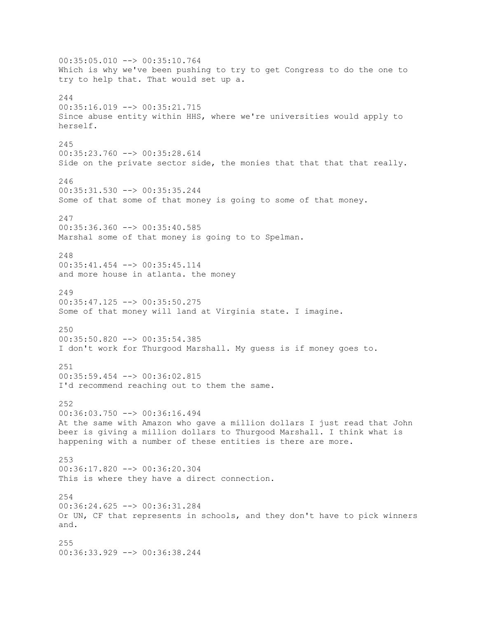00:35:05.010 --> 00:35:10.764 Which is why we've been pushing to try to get Congress to do the one to try to help that. That would set up a.  $211$ 00:35:16.019 --> 00:35:21.715 Since abuse entity within HHS, where we're universities would apply to herself. 245 00:35:23.760 --> 00:35:28.614 Side on the private sector side, the monies that that that that really. 246 00:35:31.530 --> 00:35:35.244 Some of that some of that money is going to some of that money. 247 00:35:36.360 --> 00:35:40.585 Marshal some of that money is going to to Spelman. 248 00:35:41.454 --> 00:35:45.114 and more house in atlanta. the money 249  $00:35:47.125$   $\leftarrow$   $>$   $00:35:50.275$ Some of that money will land at Virginia state. I imagine. 250 00:35:50.820 --> 00:35:54.385 I don't work for Thurgood Marshall. My guess is if money goes to. 251 00:35:59.454 --> 00:36:02.815 I'd recommend reaching out to them the same. 252 00:36:03.750 --> 00:36:16.494 At the same with Amazon who gave a million dollars I just read that John beer is giving a million dollars to Thurgood Marshall. I think what is happening with a number of these entities is there are more. 253 00:36:17.820 --> 00:36:20.304 This is where they have a direct connection. 254 00:36:24.625 --> 00:36:31.284 Or UN, CF that represents in schools, and they don't have to pick winners and. 255 00:36:33.929 --> 00:36:38.244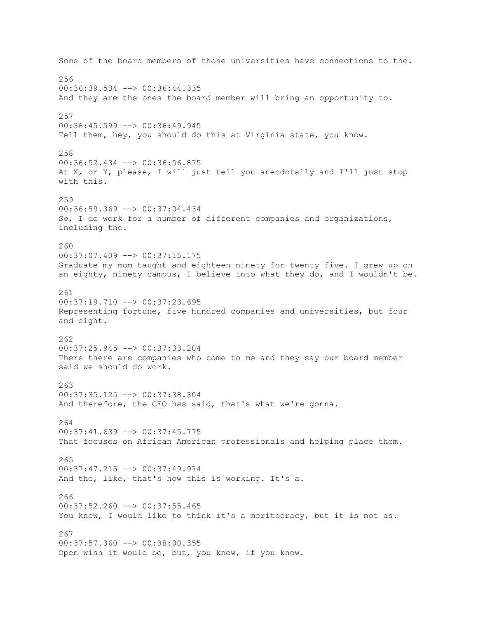Some of the board members of those universities have connections to the. 256 00:36:39.534 --> 00:36:44.335 And they are the ones the board member will bring an opportunity to. 257 00:36:45.599 --> 00:36:49.945 Tell them, hey, you should do this at Virginia state, you know. 258 00:36:52.434 --> 00:36:56.875 At X, or Y, please, I will just tell you anecdotally and I'll just stop with this. 259 00:36:59.369 --> 00:37:04.434 So, I do work for a number of different companies and organizations, including the. 260 00:37:07.409 --> 00:37:15.175 Graduate my mom taught and eighteen ninety for twenty five. I grew up on an eighty, ninety campus, I believe into what they do, and I wouldn't be. 261  $00:37:19.710$  -->  $00:37:23.695$ Representing fortune, five hundred companies and universities, but four and eight. 262 00:37:25.945 --> 00:37:33.204 There there are companies who come to me and they say our board member said we should do work. 263 00:37:35.125 --> 00:37:38.304 And therefore, the CEO has said, that's what we're gonna. 264 00:37:41.639 --> 00:37:45.775 That focuses on African American professionals and helping place them. 265 00:37:47.215 --> 00:37:49.974 And the, like, that's how this is working. It's a. 266 00:37:52.260 --> 00:37:55.465 You know, I would like to think it's a meritocracy, but it is not as. 267 00:37:57.360 --> 00:38:00.355 Open wish it would be, but, you know, if you know.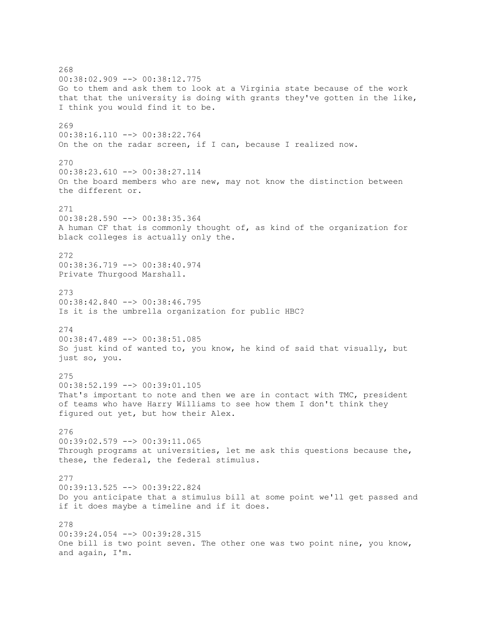268 00:38:02.909 --> 00:38:12.775 Go to them and ask them to look at a Virginia state because of the work that that the university is doing with grants they've gotten in the like, I think you would find it to be. 269 00:38:16.110 --> 00:38:22.764 On the on the radar screen, if I can, because I realized now. 270 00:38:23.610 --> 00:38:27.114 On the board members who are new, may not know the distinction between the different or. 271 00:38:28.590 --> 00:38:35.364 A human CF that is commonly thought of, as kind of the organization for black colleges is actually only the. 272 00:38:36.719 --> 00:38:40.974 Private Thurgood Marshall. 273  $00:38:42.840$  -->  $00:38:46.795$ Is it is the umbrella organization for public HBC? 274 00:38:47.489 --> 00:38:51.085 So just kind of wanted to, you know, he kind of said that visually, but just so, you. 275 00:38:52.199 --> 00:39:01.105 That's important to note and then we are in contact with TMC, president of teams who have Harry Williams to see how them I don't think they figured out yet, but how their Alex. 276 00:39:02.579 --> 00:39:11.065 Through programs at universities, let me ask this questions because the, these, the federal, the federal stimulus. 277 00:39:13.525 --> 00:39:22.824 Do you anticipate that a stimulus bill at some point we'll get passed and if it does maybe a timeline and if it does. 278 00:39:24.054 --> 00:39:28.315 One bill is two point seven. The other one was two point nine, you know, and again, I'm.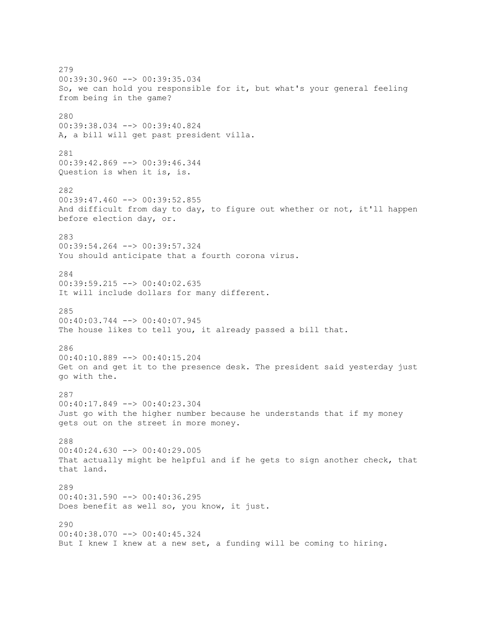279 00:39:30.960 --> 00:39:35.034 So, we can hold you responsible for it, but what's your general feeling from being in the game? 280 00:39:38.034 --> 00:39:40.824 A, a bill will get past president villa. 281 00:39:42.869 --> 00:39:46.344 Question is when it is, is. 282  $00:39:47.460$  -->  $00:39:52.855$ And difficult from day to day, to figure out whether or not, it'll happen before election day, or. 283 00:39:54.264 --> 00:39:57.324 You should anticipate that a fourth corona virus. 284 00:39:59.215 --> 00:40:02.635 It will include dollars for many different. 285 00:40:03.744 --> 00:40:07.945 The house likes to tell you, it already passed a bill that. 286 00:40:10.889 --> 00:40:15.204 Get on and get it to the presence desk. The president said yesterday just go with the. 287 00:40:17.849 --> 00:40:23.304 Just go with the higher number because he understands that if my money gets out on the street in more money. 288 00:40:24.630 --> 00:40:29.005 That actually might be helpful and if he gets to sign another check, that that land. 289 00:40:31.590 --> 00:40:36.295 Does benefit as well so, you know, it just. 290 00:40:38.070 --> 00:40:45.324 But I knew I knew at a new set, a funding will be coming to hiring.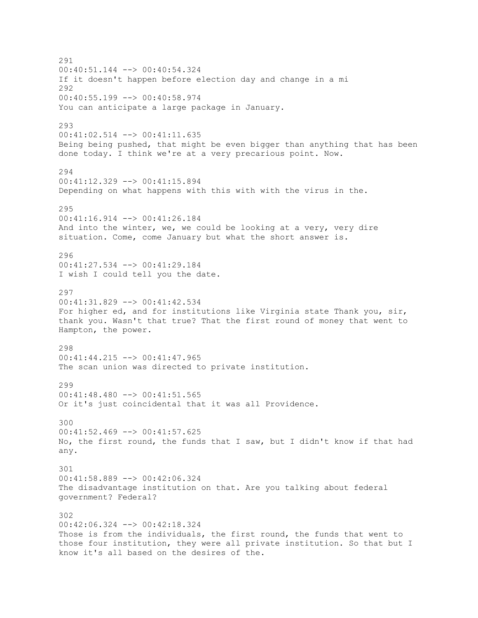291 00:40:51.144 --> 00:40:54.324 If it doesn't happen before election day and change in a mi 292 00:40:55.199 --> 00:40:58.974 You can anticipate a large package in January. 293 00:41:02.514 --> 00:41:11.635 Being being pushed, that might be even bigger than anything that has been done today. I think we're at a very precarious point. Now. 294 00:41:12.329 --> 00:41:15.894 Depending on what happens with this with with the virus in the. 295 00:41:16.914 --> 00:41:26.184 And into the winter, we, we could be looking at a very, very dire situation. Come, come January but what the short answer is. 296 00:41:27.534 --> 00:41:29.184 I wish I could tell you the date. 297  $00:41:31.829$  -->  $00:41:42.534$ For higher ed, and for institutions like Virginia state Thank you, sir, thank you. Wasn't that true? That the first round of money that went to Hampton, the power. 298 00:41:44.215 --> 00:41:47.965 The scan union was directed to private institution. 299 00:41:48.480 --> 00:41:51.565 Or it's just coincidental that it was all Providence. 300 00:41:52.469 --> 00:41:57.625 No, the first round, the funds that I saw, but I didn't know if that had any. 301 00:41:58.889 --> 00:42:06.324 The disadvantage institution on that. Are you talking about federal government? Federal? 302 00:42:06.324 --> 00:42:18.324 Those is from the individuals, the first round, the funds that went to those four institution, they were all private institution. So that but I know it's all based on the desires of the.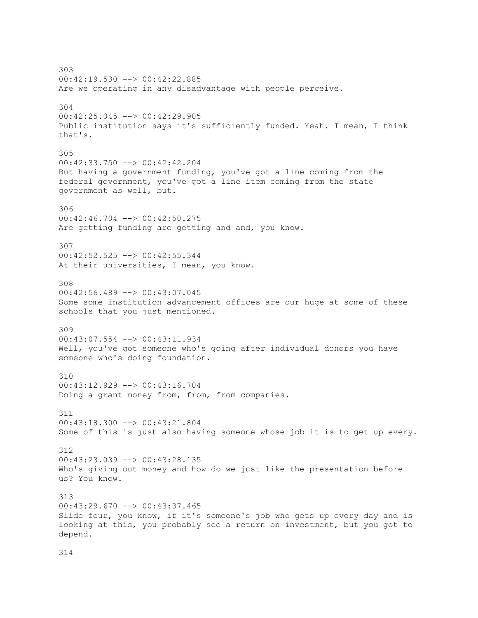303 00:42:19.530 --> 00:42:22.885 Are we operating in any disadvantage with people perceive. 304 00:42:25.045 --> 00:42:29.905 Public institution says it's sufficiently funded. Yeah. I mean, I think that's. 305 00:42:33.750 --> 00:42:42.204 But having a government funding, you've got a line coming from the federal government, you've got a line item coming from the state government as well, but. 306 00:42:46.704 --> 00:42:50.275 Are getting funding are getting and and, you know. 307 00:42:52.525 --> 00:42:55.344 At their universities, I mean, you know. 308 00:42:56.489 --> 00:43:07.045 Some some institution advancement offices are our huge at some of these schools that you just mentioned. 309 00:43:07.554 --> 00:43:11.934 Well, you've got someone who's going after individual donors you have someone who's doing foundation. 310 00:43:12.929 --> 00:43:16.704 Doing a grant money from, from, from companies. 311 00:43:18.300 --> 00:43:21.804 Some of this is just also having someone whose job it is to get up every. 312 00:43:23.039 --> 00:43:28.135 Who's giving out money and how do we just like the presentation before us? You know. 313  $00:43:29.670$  -->  $00:43:37.465$ Slide four, you know, if it's someone's job who gets up every day and is looking at this, you probably see a return on investment, but you got to depend.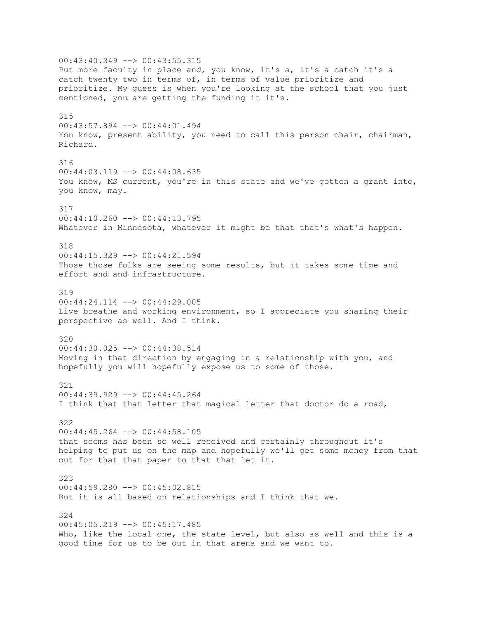00:43:40.349 --> 00:43:55.315 Put more faculty in place and, you know, it's a, it's a catch it's a catch twenty two in terms of, in terms of value prioritize and prioritize. My guess is when you're looking at the school that you just mentioned, you are getting the funding it it's. 315 00:43:57.894 --> 00:44:01.494 You know, present ability, you need to call this person chair, chairman, Richard. 316 00:44:03.119 --> 00:44:08.635 You know, MS current, you're in this state and we've gotten a grant into, you know, may. 317 00:44:10.260 --> 00:44:13.795 Whatever in Minnesota, whatever it might be that that's what's happen. 318 00:44:15.329 --> 00:44:21.594 Those those folks are seeing some results, but it takes some time and effort and and infrastructure. 319  $00:44:24.114$  -->  $00:44:29.005$ Live breathe and working environment, so I appreciate you sharing their perspective as well. And I think. 320 00:44:30.025 --> 00:44:38.514 Moving in that direction by engaging in a relationship with you, and hopefully you will hopefully expose us to some of those. 321 00:44:39.929 --> 00:44:45.264 I think that that letter that magical letter that doctor do a road, 322  $00:44:45.264$  -->  $00:44:58.105$ that seems has been so well received and certainly throughout it's helping to put us on the map and hopefully we'll get some money from that out for that that paper to that that let it. 323 00:44:59.280 --> 00:45:02.815 But it is all based on relationships and I think that we. 324 00:45:05.219 --> 00:45:17.485 Who, like the local one, the state level, but also as well and this is a good time for us to be out in that arena and we want to.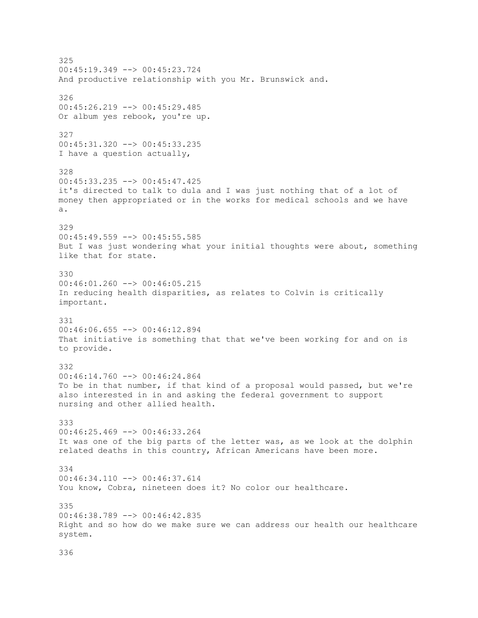325 00:45:19.349 --> 00:45:23.724 And productive relationship with you Mr. Brunswick and. 326 00:45:26.219 --> 00:45:29.485 Or album yes rebook, you're up. 327 00:45:31.320 --> 00:45:33.235 I have a question actually, 328 00:45:33.235 --> 00:45:47.425 it's directed to talk to dula and I was just nothing that of a lot of money then appropriated or in the works for medical schools and we have a. 329  $00:45:49.559$  -->  $00:45:55.585$ But I was just wondering what your initial thoughts were about, something like that for state. 330 00:46:01.260 --> 00:46:05.215 In reducing health disparities, as relates to Colvin is critically important. 331 00:46:06.655 --> 00:46:12.894 That initiative is something that that we've been working for and on is to provide. 332  $00:46:14.760$  -->  $00:46:24.864$ To be in that number, if that kind of a proposal would passed, but we're also interested in in and asking the federal government to support nursing and other allied health. 333  $00:46:25.469$  -->  $00:46:33.264$ It was one of the big parts of the letter was, as we look at the dolphin related deaths in this country, African Americans have been more. 334 00:46:34.110 --> 00:46:37.614 You know, Cobra, nineteen does it? No color our healthcare. 335 00:46:38.789 --> 00:46:42.835 Right and so how do we make sure we can address our health our healthcare system.

```
336
```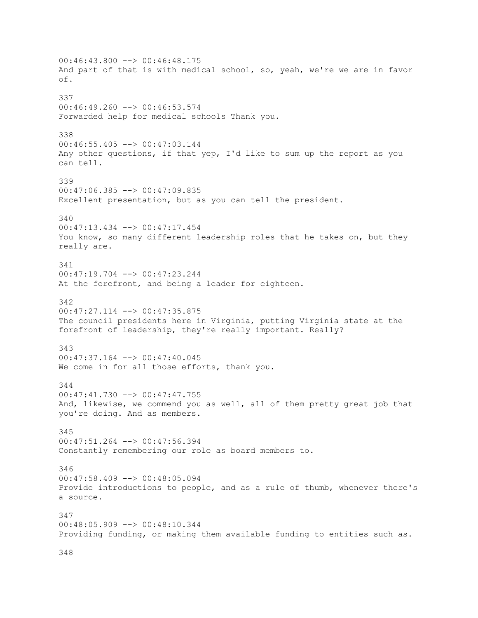$00:46:43.800$  -->  $00:46:48.175$ And part of that is with medical school, so, yeah, we're we are in favor of. 337  $00:46:49.260$  -->  $00:46:53.574$ Forwarded help for medical schools Thank you. 338 00:46:55.405 --> 00:47:03.144 Any other questions, if that yep, I'd like to sum up the report as you can tell. 339 00:47:06.385 --> 00:47:09.835 Excellent presentation, but as you can tell the president. 340 00:47:13.434 --> 00:47:17.454 You know, so many different leadership roles that he takes on, but they really are. 341 00:47:19.704 --> 00:47:23.244 At the forefront, and being a leader for eighteen. 342 00:47:27.114 --> 00:47:35.875 The council presidents here in Virginia, putting Virginia state at the forefront of leadership, they're really important. Really? 343 00:47:37.164 --> 00:47:40.045 We come in for all those efforts, thank you. 344 00:47:41.730 --> 00:47:47.755 And, likewise, we commend you as well, all of them pretty great job that you're doing. And as members. 345 00:47:51.264 --> 00:47:56.394 Constantly remembering our role as board members to. 346 00:47:58.409 --> 00:48:05.094 Provide introductions to people, and as a rule of thumb, whenever there's a source. 347 00:48:05.909 --> 00:48:10.344 Providing funding, or making them available funding to entities such as.

348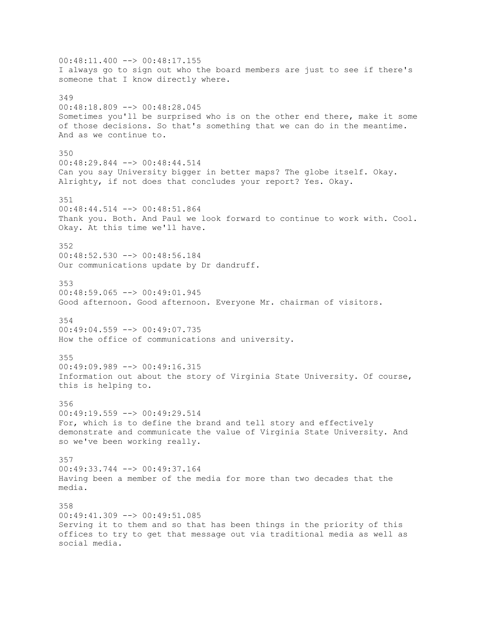$00:48:11.400$  -->  $00:48:17.155$ I always go to sign out who the board members are just to see if there's someone that I know directly where. 349 00:48:18.809 --> 00:48:28.045 Sometimes you'll be surprised who is on the other end there, make it some of those decisions. So that's something that we can do in the meantime. And as we continue to. 350 00:48:29.844 --> 00:48:44.514 Can you say University bigger in better maps? The globe itself. Okay. Alrighty, if not does that concludes your report? Yes. Okay. 351 00:48:44.514 --> 00:48:51.864 Thank you. Both. And Paul we look forward to continue to work with. Cool. Okay. At this time we'll have. 352 00:48:52.530 --> 00:48:56.184 Our communications update by Dr dandruff. 353 00:48:59.065 --> 00:49:01.945 Good afternoon. Good afternoon. Everyone Mr. chairman of visitors. 354  $00:49:04.559$  -->  $00:49:07.735$ How the office of communications and university. 355  $00:49:09.989$  -->  $00:49:16.315$ Information out about the story of Virginia State University. Of course, this is helping to. 356 00:49:19.559 --> 00:49:29.514 For, which is to define the brand and tell story and effectively demonstrate and communicate the value of Virginia State University. And so we've been working really. 357 00:49:33.744 --> 00:49:37.164 Having been a member of the media for more than two decades that the media. 358  $00:49:41.309$  -->  $00:49:51.085$ Serving it to them and so that has been things in the priority of this offices to try to get that message out via traditional media as well as social media.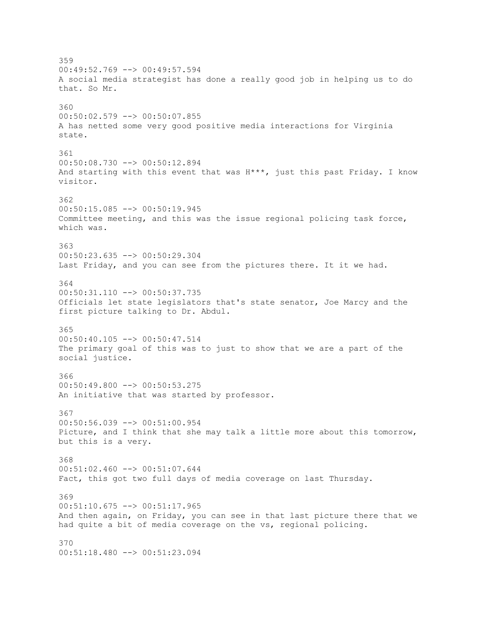359 00:49:52.769 --> 00:49:57.594 A social media strategist has done a really good job in helping us to do that. So Mr. 360 00:50:02.579 --> 00:50:07.855 A has netted some very good positive media interactions for Virginia state. 361 00:50:08.730 --> 00:50:12.894 And starting with this event that was H\*\*\*, just this past Friday. I know visitor. 362 00:50:15.085 --> 00:50:19.945 Committee meeting, and this was the issue regional policing task force, which was. 363 00:50:23.635 --> 00:50:29.304 Last Friday, and you can see from the pictures there. It it we had. 364 00:50:31.110 --> 00:50:37.735 Officials let state legislators that's state senator, Joe Marcy and the first picture talking to Dr. Abdul. 365 00:50:40.105 --> 00:50:47.514 The primary goal of this was to just to show that we are a part of the social justice. 366  $00:50:49.800$  -->  $00:50:53.275$ An initiative that was started by professor. 367 00:50:56.039 --> 00:51:00.954 Picture, and I think that she may talk a little more about this tomorrow, but this is a very. 368  $00:51:02.460$  -->  $00:51:07.644$ Fact, this got two full days of media coverage on last Thursday. 369 00:51:10.675 --> 00:51:17.965 And then again, on Friday, you can see in that last picture there that we had quite a bit of media coverage on the vs, regional policing. 370 00:51:18.480 --> 00:51:23.094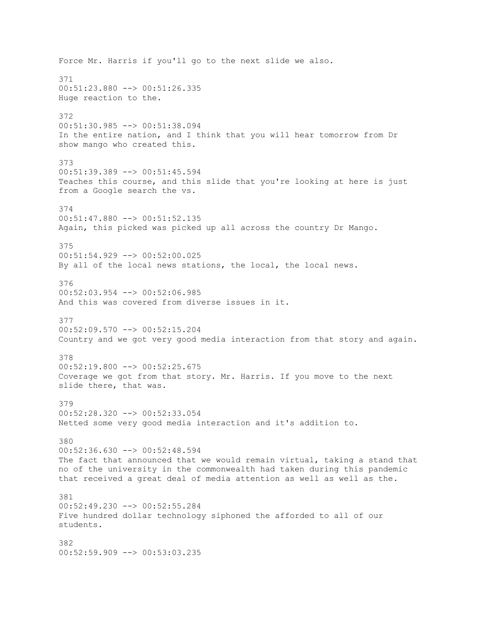Force Mr. Harris if you'll go to the next slide we also. 371 00:51:23.880 --> 00:51:26.335 Huge reaction to the. 372 00:51:30.985 --> 00:51:38.094 In the entire nation, and I think that you will hear tomorrow from Dr show mango who created this. 373 00:51:39.389 --> 00:51:45.594 Teaches this course, and this slide that you're looking at here is just from a Google search the vs. 374 00:51:47.880 --> 00:51:52.135 Again, this picked was picked up all across the country Dr Mango. 375  $00:51:54.929$  -->  $00:52:00.025$ By all of the local news stations, the local, the local news. 376 00:52:03.954 --> 00:52:06.985 And this was covered from diverse issues in it. 377 00:52:09.570 --> 00:52:15.204 Country and we got very good media interaction from that story and again. 378  $00:52:19.800$  -->  $00:52:25.675$ Coverage we got from that story. Mr. Harris. If you move to the next slide there, that was. 379 00:52:28.320 --> 00:52:33.054 Netted some very good media interaction and it's addition to. 380 00:52:36.630 --> 00:52:48.594 The fact that announced that we would remain virtual, taking a stand that no of the university in the commonwealth had taken during this pandemic that received a great deal of media attention as well as well as the. 381 00:52:49.230 --> 00:52:55.284 Five hundred dollar technology siphoned the afforded to all of our students. 382 00:52:59.909 --> 00:53:03.235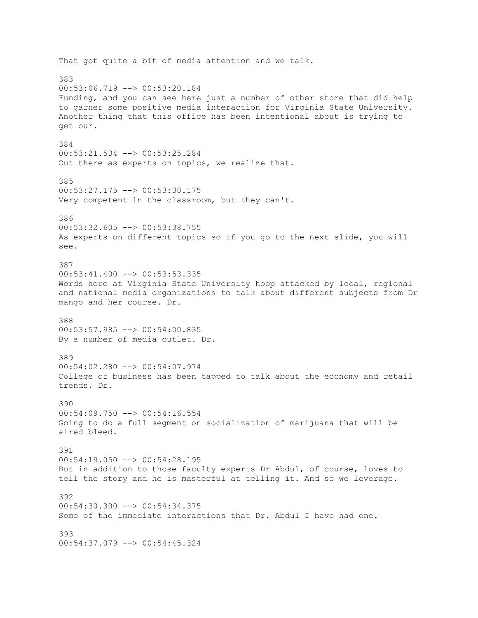That got quite a bit of media attention and we talk. 383 00:53:06.719 --> 00:53:20.184 Funding, and you can see here just a number of other store that did help to garner some positive media interaction for Virginia State University. Another thing that this office has been intentional about is trying to get our. 384 00:53:21.534 --> 00:53:25.284 Out there as experts on topics, we realize that. 385 00:53:27.175 --> 00:53:30.175 Very competent in the classroom, but they can't. 386 00:53:32.605 --> 00:53:38.755 As experts on different topics so if you go to the next slide, you will see. 387 00:53:41.400 --> 00:53:53.335 Words here at Virginia State University hoop attacked by local, regional and national media organizations to talk about different subjects from Dr mango and her course. Dr. 388 00:53:57.985 --> 00:54:00.835 By a number of media outlet. Dr. 389 00:54:02.280 --> 00:54:07.974 College of business has been tapped to talk about the economy and retail trends. Dr. 390 00:54:09.750 --> 00:54:16.554 Going to do a full segment on socialization of marijuana that will be aired bleed. 391 00:54:19.050 --> 00:54:28.195 But in addition to those faculty experts Dr Abdul, of course, loves to tell the story and he is masterful at telling it. And so we leverage. 392  $00:54:30.300$  -->  $00:54:34.375$ Some of the immediate interactions that Dr. Abdul I have had one. 393 00:54:37.079 --> 00:54:45.324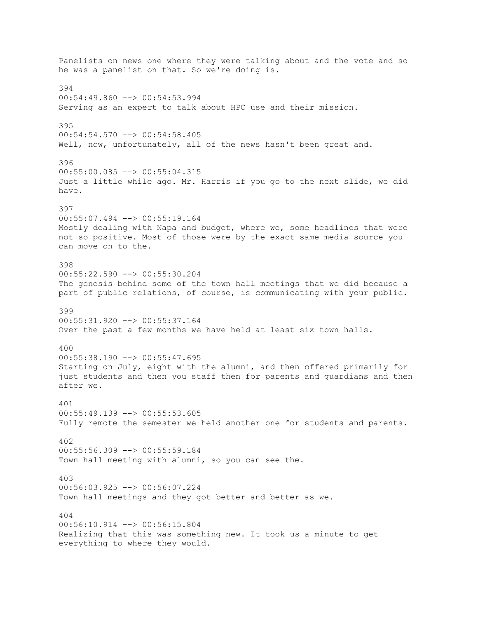Panelists on news one where they were talking about and the vote and so he was a panelist on that. So we're doing is. 394 00:54:49.860 --> 00:54:53.994 Serving as an expert to talk about HPC use and their mission. 395  $00:54:54.570$  -->  $00:54:58.405$ Well, now, unfortunately, all of the news hasn't been great and. 396 00:55:00.085 --> 00:55:04.315 Just a little while ago. Mr. Harris if you go to the next slide, we did have. 397 00:55:07.494 --> 00:55:19.164 Mostly dealing with Napa and budget, where we, some headlines that were not so positive. Most of those were by the exact same media source you can move on to the. 398 00:55:22.590 --> 00:55:30.204 The genesis behind some of the town hall meetings that we did because a part of public relations, of course, is communicating with your public. 399 00:55:31.920 --> 00:55:37.164 Over the past a few months we have held at least six town halls. 400 00:55:38.190 --> 00:55:47.695 Starting on July, eight with the alumni, and then offered primarily for just students and then you staff then for parents and guardians and then after we. 401  $00:55:49.139$  -->  $00:55:53.605$ Fully remote the semester we held another one for students and parents. 402 00:55:56.309 --> 00:55:59.184 Town hall meeting with alumni, so you can see the. 403 00:56:03.925 --> 00:56:07.224 Town hall meetings and they got better and better as we. 404 00:56:10.914 --> 00:56:15.804 Realizing that this was something new. It took us a minute to get everything to where they would.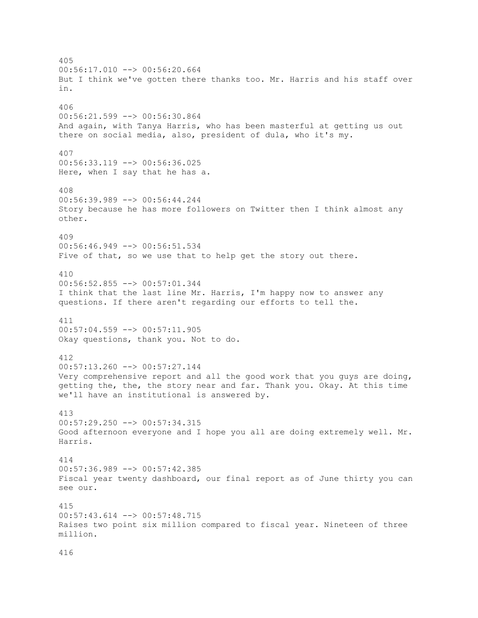405  $00:56:17.010$  -->  $00:56:20.664$ But I think we've gotten there thanks too. Mr. Harris and his staff over in. 406 00:56:21.599 --> 00:56:30.864 And again, with Tanya Harris, who has been masterful at getting us out there on social media, also, president of dula, who it's my. 407 00:56:33.119 --> 00:56:36.025 Here, when I say that he has a. 408 00:56:39.989 --> 00:56:44.244 Story because he has more followers on Twitter then I think almost any other. 409 00:56:46.949 --> 00:56:51.534 Five of that, so we use that to help get the story out there. 410 00:56:52.855 --> 00:57:01.344 I think that the last line Mr. Harris, I'm happy now to answer any questions. If there aren't regarding our efforts to tell the. 411 00:57:04.559 --> 00:57:11.905 Okay questions, thank you. Not to do. 412  $00:57:13.260$  -->  $00:57:27.144$ Very comprehensive report and all the good work that you guys are doing, getting the, the, the story near and far. Thank you. Okay. At this time we'll have an institutional is answered by. 413 00:57:29.250 --> 00:57:34.315 Good afternoon everyone and I hope you all are doing extremely well. Mr. Harris. 414 00:57:36.989 --> 00:57:42.385 Fiscal year twenty dashboard, our final report as of June thirty you can see our. 415  $00:57:43.614$  -->  $00:57:48.715$ Raises two point six million compared to fiscal year. Nineteen of three million.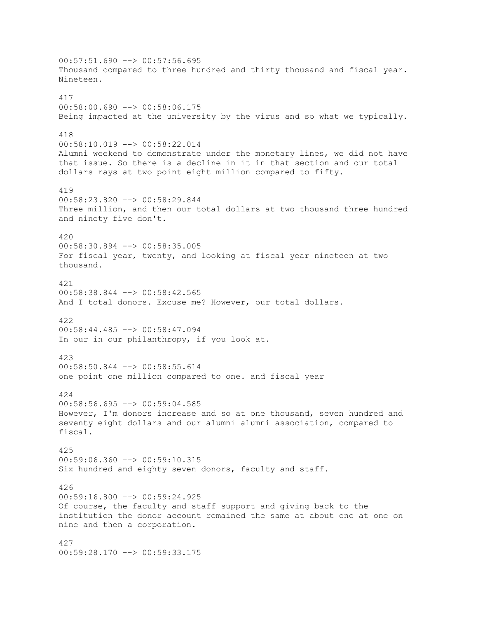$00:57:51.690$  -->  $00:57:56.695$ Thousand compared to three hundred and thirty thousand and fiscal year. Nineteen. 417  $00:58:00.690$  -->  $00:58:06.175$ Being impacted at the university by the virus and so what we typically. 418 00:58:10.019 --> 00:58:22.014 Alumni weekend to demonstrate under the monetary lines, we did not have that issue. So there is a decline in it in that section and our total dollars rays at two point eight million compared to fifty. 419 00:58:23.820 --> 00:58:29.844 Three million, and then our total dollars at two thousand three hundred and ninety five don't. 420 00:58:30.894 --> 00:58:35.005 For fiscal year, twenty, and looking at fiscal year nineteen at two thousand. 421 00:58:38.844 --> 00:58:42.565 And I total donors. Excuse me? However, our total dollars. 422 00:58:44.485 --> 00:58:47.094 In our in our philanthropy, if you look at. 423  $00:58:50.844$   $\leftarrow$   $>$  00:58:55.614 one point one million compared to one. and fiscal year 424 00:58:56.695 --> 00:59:04.585 However, I'm donors increase and so at one thousand, seven hundred and seventy eight dollars and our alumni alumni association, compared to fiscal. 425 00:59:06.360 --> 00:59:10.315 Six hundred and eighty seven donors, faculty and staff. 426 00:59:16.800 --> 00:59:24.925 Of course, the faculty and staff support and giving back to the institution the donor account remained the same at about one at one on nine and then a corporation. 427 00:59:28.170 --> 00:59:33.175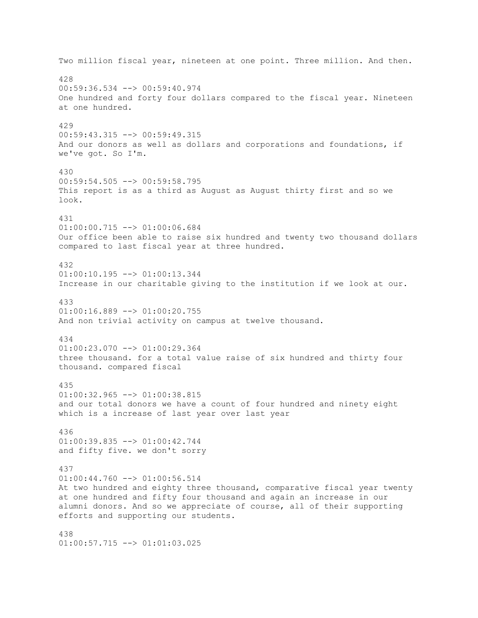Two million fiscal year, nineteen at one point. Three million. And then. 428 00:59:36.534 --> 00:59:40.974 One hundred and forty four dollars compared to the fiscal year. Nineteen at one hundred. 429 00:59:43.315 --> 00:59:49.315 And our donors as well as dollars and corporations and foundations, if we've got. So I'm. 430 00:59:54.505 --> 00:59:58.795 This report is as a third as August as August thirty first and so we look. 431 01:00:00.715 --> 01:00:06.684 Our office been able to raise six hundred and twenty two thousand dollars compared to last fiscal year at three hundred. 432 01:00:10.195 --> 01:00:13.344 Increase in our charitable giving to the institution if we look at our. 433  $01:00:16.889$  -->  $01:00:20.755$ And non trivial activity on campus at twelve thousand. 434  $01:00:23.070$  -->  $01:00:29.364$ three thousand. for a total value raise of six hundred and thirty four thousand. compared fiscal 435  $01:00:32.965$  -->  $01:00:38.815$ and our total donors we have a count of four hundred and ninety eight which is a increase of last year over last year 436 01:00:39.835 --> 01:00:42.744 and fifty five. we don't sorry 437 01:00:44.760 --> 01:00:56.514 At two hundred and eighty three thousand, comparative fiscal year twenty at one hundred and fifty four thousand and again an increase in our alumni donors. And so we appreciate of course, all of their supporting efforts and supporting our students. 438 01:00:57.715 --> 01:01:03.025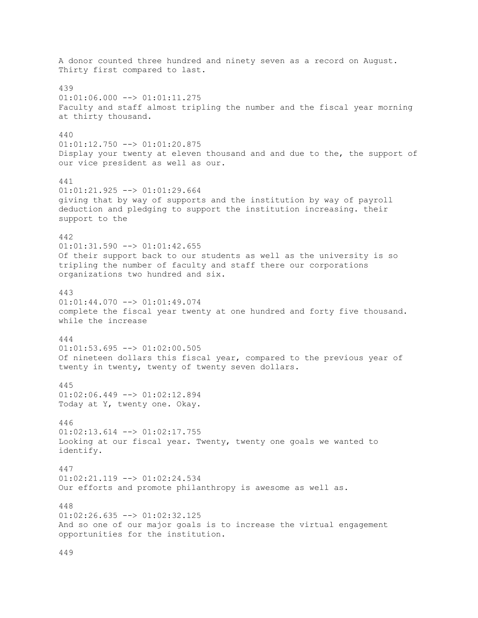A donor counted three hundred and ninety seven as a record on August. Thirty first compared to last. 439  $01:01:06.000$  -->  $01:01:11.275$ Faculty and staff almost tripling the number and the fiscal year morning at thirty thousand. 440 01:01:12.750 --> 01:01:20.875 Display your twenty at eleven thousand and and due to the, the support of our vice president as well as our. 441  $01:01:21.925$  -->  $01:01:29.664$ giving that by way of supports and the institution by way of payroll deduction and pledging to support the institution increasing. their support to the 442  $01:01:31.590$  -->  $01:01:42.655$ Of their support back to our students as well as the university is so tripling the number of faculty and staff there our corporations organizations two hundred and six. 443  $01:01:44.070$  -->  $01:01:49.074$ complete the fiscal year twenty at one hundred and forty five thousand. while the increase 444  $01:01:53.695$  -->  $01:02:00.505$ Of nineteen dollars this fiscal year, compared to the previous year of twenty in twenty, twenty of twenty seven dollars. 445 01:02:06.449 --> 01:02:12.894 Today at Y, twenty one. Okay. 446  $01:02:13.614$  -->  $01:02:17.755$ Looking at our fiscal year. Twenty, twenty one goals we wanted to identify. 447 01:02:21.119 --> 01:02:24.534 Our efforts and promote philanthropy is awesome as well as. 448  $01:02:26.635$  -->  $01:02:32.125$ And so one of our major goals is to increase the virtual engagement opportunities for the institution.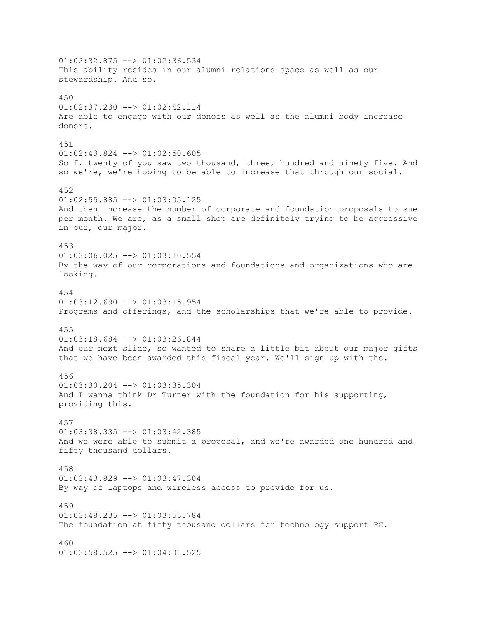$01:02:32.875$  -->  $01:02:36.534$ This ability resides in our alumni relations space as well as our stewardship. And so. 450 01:02:37.230 --> 01:02:42.114 Are able to engage with our donors as well as the alumni body increase donors. 451 01:02:43.824 --> 01:02:50.605 So f, twenty of you saw two thousand, three, hundred and ninety five. And so we're, we're hoping to be able to increase that through our social. 452  $01:02:55.885$   $\leftarrow$  >  $01:03:05.125$ And then increase the number of corporate and foundation proposals to sue per month. We are, as a small shop are definitely trying to be aggressive in our, our major. 453  $01:03:06.025$  -->  $01:03:10.554$ By the way of our corporations and foundations and organizations who are looking. 454  $01:03:12.690$  -->  $01:03:15.954$ Programs and offerings, and the scholarships that we're able to provide. 455 01:03:18.684 --> 01:03:26.844 And our next slide, so wanted to share a little bit about our major gifts that we have been awarded this fiscal year. We'll sign up with the. 456 01:03:30.204 --> 01:03:35.304 And I wanna think Dr Turner with the foundation for his supporting, providing this. 457  $01:03:38.335$  -->  $01:03:42.385$ And we were able to submit a proposal, and we're awarded one hundred and fifty thousand dollars. 458 01:03:43.829 --> 01:03:47.304 By way of laptops and wireless access to provide for us. 459  $01:03:48.235$  -->  $01:03:53.784$ The foundation at fifty thousand dollars for technology support PC. 460 01:03:58.525 --> 01:04:01.525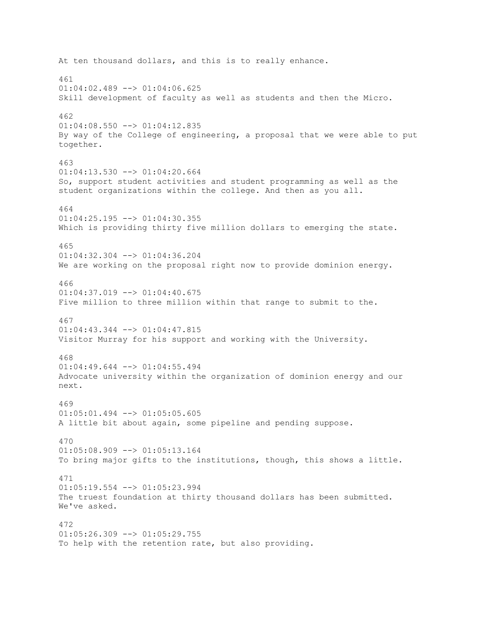At ten thousand dollars, and this is to really enhance. 461  $01:04:02.489$  -->  $01:04:06.625$ Skill development of faculty as well as students and then the Micro. 462 01:04:08.550 --> 01:04:12.835 By way of the College of engineering, a proposal that we were able to put together. 463  $01:04:13.530$  -->  $01:04:20.664$ So, support student activities and student programming as well as the student organizations within the college. And then as you all. 464  $01:04:25.195$  -->  $01:04:30.355$ Which is providing thirty five million dollars to emerging the state. 465 01:04:32.304 --> 01:04:36.204 We are working on the proposal right now to provide dominion energy. 466 01:04:37.019 --> 01:04:40.675 Five million to three million within that range to submit to the. 467 01:04:43.344 --> 01:04:47.815 Visitor Murray for his support and working with the University. 468  $01:04:49.644$  -->  $01:04:55.494$ Advocate university within the organization of dominion energy and our next. 469  $01:05:01.494$   $\leftarrow$   $>$   $01:05:05.605$ A little bit about again, some pipeline and pending suppose. 470 01:05:08.909 --> 01:05:13.164 To bring major gifts to the institutions, though, this shows a little. 471  $01:05:19.554$   $\leftarrow$   $>$   $01:05:23.994$ The truest foundation at thirty thousand dollars has been submitted. We've asked. 472  $01:05:26.309$   $\rightarrow$   $\rightarrow$   $01:05:29.755$ To help with the retention rate, but also providing.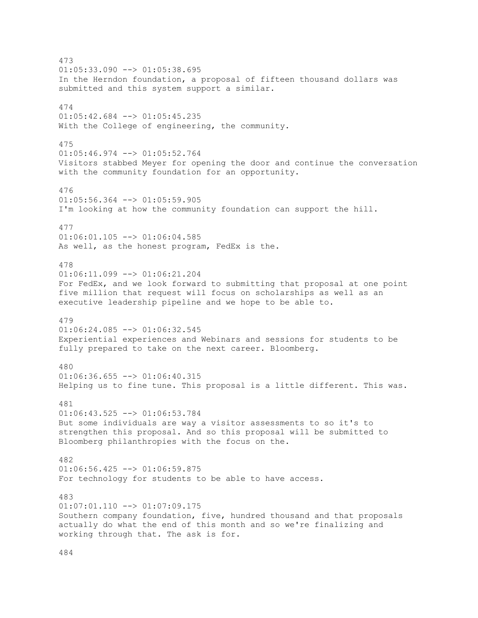473  $01:05:33.090$  -->  $01:05:38.695$ In the Herndon foundation, a proposal of fifteen thousand dollars was submitted and this system support a similar. 474 01:05:42.684 --> 01:05:45.235 With the College of engineering, the community. 475 01:05:46.974 --> 01:05:52.764 Visitors stabbed Meyer for opening the door and continue the conversation with the community foundation for an opportunity. 476  $01:05:56.364$   $\leftarrow$   $>$   $01:05:59.905$ I'm looking at how the community foundation can support the hill. 477  $01:06:01.105$  -->  $01:06:04.585$ As well, as the honest program, FedEx is the. 478 01:06:11.099 --> 01:06:21.204 For FedEx, and we look forward to submitting that proposal at one point five million that request will focus on scholarships as well as an executive leadership pipeline and we hope to be able to. 479  $01:06:24.085$  -->  $01:06:32.545$ Experiential experiences and Webinars and sessions for students to be fully prepared to take on the next career. Bloomberg. 480  $01:06:36.655$  -->  $01:06:40.315$ Helping us to fine tune. This proposal is a little different. This was. 481  $01:06:43.525$  -->  $01:06:53.784$ But some individuals are way a visitor assessments to so it's to strengthen this proposal. And so this proposal will be submitted to Bloomberg philanthropies with the focus on the. 482  $01:06:56.425$  -->  $01:06:59.875$ For technology for students to be able to have access. 483  $01:07:01.110$  -->  $01:07:09.175$ Southern company foundation, five, hundred thousand and that proposals actually do what the end of this month and so we're finalizing and working through that. The ask is for.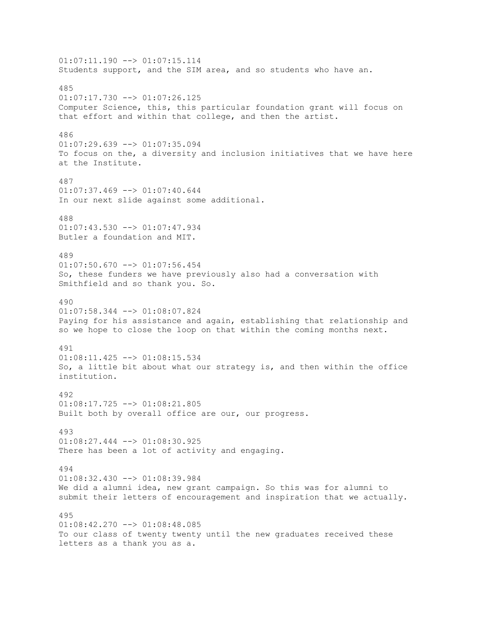01:07:11.190 --> 01:07:15.114 Students support, and the SIM area, and so students who have an. 485  $01:07:17.730$  -->  $01:07:26.125$ Computer Science, this, this particular foundation grant will focus on that effort and within that college, and then the artist. 486 01:07:29.639 --> 01:07:35.094 To focus on the, a diversity and inclusion initiatives that we have here at the Institute. 487  $01:07:37.469$  -->  $01:07:40.644$ In our next slide against some additional. 488 01:07:43.530 --> 01:07:47.934 Butler a foundation and MIT. 489  $01:07:50.670$  -->  $01:07:56.454$ So, these funders we have previously also had a conversation with Smithfield and so thank you. So. 490 01:07:58.344 --> 01:08:07.824 Paying for his assistance and again, establishing that relationship and so we hope to close the loop on that within the coming months next. 491 01:08:11.425 --> 01:08:15.534 So, a little bit about what our strategy is, and then within the office institution. 492 01:08:17.725 --> 01:08:21.805 Built both by overall office are our, our progress. 493 01:08:27.444 --> 01:08:30.925 There has been a lot of activity and engaging. 494 01:08:32.430 --> 01:08:39.984 We did a alumni idea, new grant campaign. So this was for alumni to submit their letters of encouragement and inspiration that we actually. 495 01:08:42.270 --> 01:08:48.085 To our class of twenty twenty until the new graduates received these letters as a thank you as a.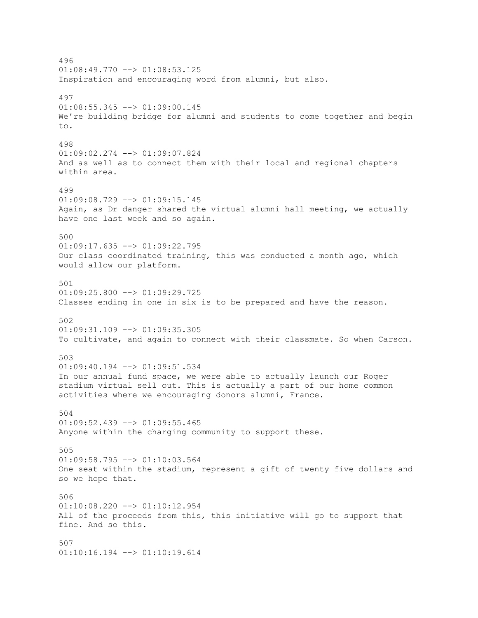496  $01:08:49.770$  -->  $01:08:53.125$ Inspiration and encouraging word from alumni, but also. 497  $01:08:55.345$   $\leftarrow$  >  $01:09:00.145$ We're building bridge for alumni and students to come together and begin to. 498 01:09:02.274 --> 01:09:07.824 And as well as to connect them with their local and regional chapters within area. 499  $01:09:08.729$  -->  $01:09:15.145$ Again, as Dr danger shared the virtual alumni hall meeting, we actually have one last week and so again. 500 01:09:17.635 --> 01:09:22.795 Our class coordinated training, this was conducted a month ago, which would allow our platform. 501 01:09:25.800 --> 01:09:29.725 Classes ending in one in six is to be prepared and have the reason. 502 01:09:31.109 --> 01:09:35.305 To cultivate, and again to connect with their classmate. So when Carson. 503  $01:09:40.194$  -->  $01:09:51.534$ In our annual fund space, we were able to actually launch our Roger stadium virtual sell out. This is actually a part of our home common activities where we encouraging donors alumni, France. 504  $01:09:52.439$  -->  $01:09:55.465$ Anyone within the charging community to support these. 505 01:09:58.795 --> 01:10:03.564 One seat within the stadium, represent a gift of twenty five dollars and so we hope that. 506 01:10:08.220 --> 01:10:12.954 All of the proceeds from this, this initiative will go to support that fine. And so this. 507 01:10:16.194 --> 01:10:19.614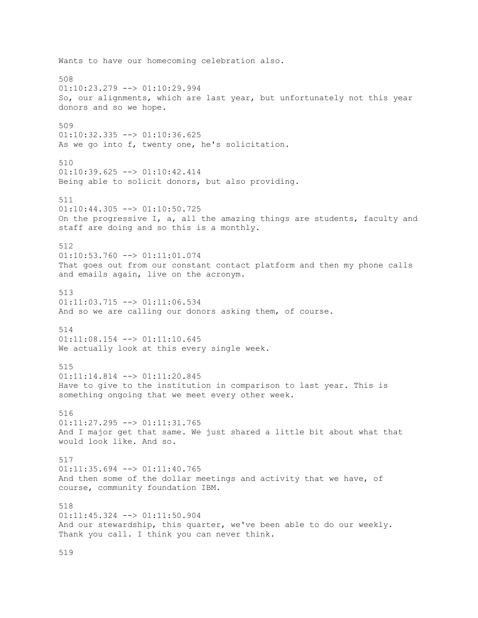Wants to have our homecoming celebration also. 508 01:10:23.279 --> 01:10:29.994 So, our alignments, which are last year, but unfortunately not this year donors and so we hope. 509 01:10:32.335 --> 01:10:36.625 As we go into f, twenty one, he's solicitation. 510  $01:10:39.625$  -->  $01:10:42.414$ Being able to solicit donors, but also providing. 511 01:10:44.305 --> 01:10:50.725 On the progressive I, a, all the amazing things are students, faculty and staff are doing and so this is a monthly. 512  $01:10:53.760$  -->  $01:11:01.074$ That goes out from our constant contact platform and then my phone calls and emails again, live on the acronym. 513  $01:11:03.715$  -->  $01:11:06.534$ And so we are calling our donors asking them, of course. 514 01:11:08.154 --> 01:11:10.645 We actually look at this every single week. 515 01:11:14.814 --> 01:11:20.845 Have to give to the institution in comparison to last year. This is something ongoing that we meet every other week. 516 01:11:27.295 --> 01:11:31.765 And I major get that same. We just shared a little bit about what that would look like. And so. 517 01:11:35.694 --> 01:11:40.765 And then some of the dollar meetings and activity that we have, of course, community foundation IBM. 518 01:11:45.324 --> 01:11:50.904 And our stewardship, this quarter, we've been able to do our weekly. Thank you call. I think you can never think.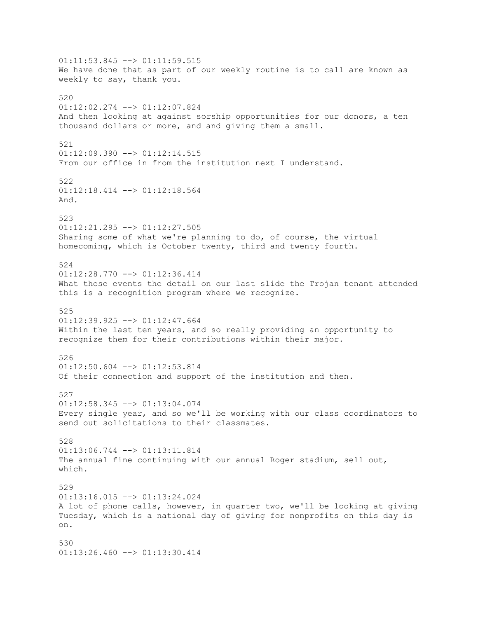01:11:53.845 --> 01:11:59.515 We have done that as part of our weekly routine is to call are known as weekly to say, thank you. 520 01:12:02.274 --> 01:12:07.824 And then looking at against sorship opportunities for our donors, a ten thousand dollars or more, and and giving them a small. 521 01:12:09.390 --> 01:12:14.515 From our office in from the institution next I understand. 522 01:12:18.414 --> 01:12:18.564 And. 523 01:12:21.295 --> 01:12:27.505 Sharing some of what we're planning to do, of course, the virtual homecoming, which is October twenty, third and twenty fourth. 524 01:12:28.770 --> 01:12:36.414 What those events the detail on our last slide the Trojan tenant attended this is a recognition program where we recognize. 525 01:12:39.925 --> 01:12:47.664 Within the last ten years, and so really providing an opportunity to recognize them for their contributions within their major. 526  $01:12:50.604$   $\leftarrow$   $>$   $01:12:53.814$ Of their connection and support of the institution and then. 527  $01:12:58.345$  -->  $01:13:04.074$ Every single year, and so we'll be working with our class coordinators to send out solicitations to their classmates. 528 01:13:06.744 --> 01:13:11.814 The annual fine continuing with our annual Roger stadium, sell out, which. 529 01:13:16.015 --> 01:13:24.024 A lot of phone calls, however, in quarter two, we'll be looking at giving Tuesday, which is a national day of giving for nonprofits on this day is on. 530 01:13:26.460 --> 01:13:30.414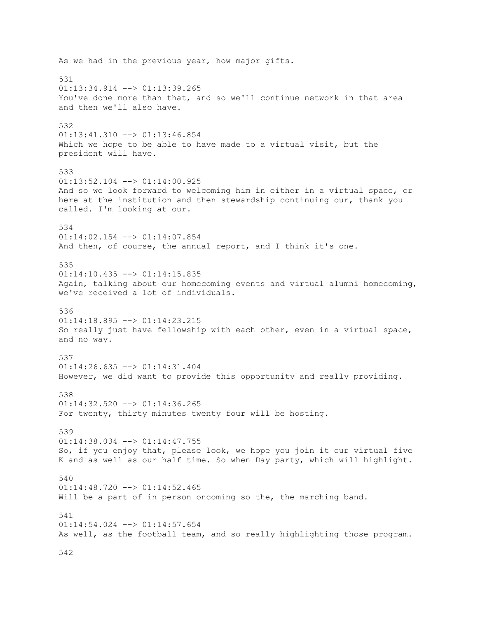As we had in the previous year, how major gifts. 531 01:13:34.914 --> 01:13:39.265 You've done more than that, and so we'll continue network in that area and then we'll also have. 532 01:13:41.310 --> 01:13:46.854 Which we hope to be able to have made to a virtual visit, but the president will have. 533 01:13:52.104 --> 01:14:00.925 And so we look forward to welcoming him in either in a virtual space, or here at the institution and then stewardship continuing our, thank you called. I'm looking at our. 534 01:14:02.154 --> 01:14:07.854 And then, of course, the annual report, and I think it's one. 535  $01:14:10.435$  -->  $01:14:15.835$ Again, talking about our homecoming events and virtual alumni homecoming, we've received a lot of individuals. 536 01:14:18.895 --> 01:14:23.215 So really just have fellowship with each other, even in a virtual space, and no way. 537  $01:14:26.635$   $\longrightarrow$   $01:14:31.404$ However, we did want to provide this opportunity and really providing. 538  $01:14:32.520$  -->  $01:14:36.265$ For twenty, thirty minutes twenty four will be hosting. 539 01:14:38.034 --> 01:14:47.755 So, if you enjoy that, please look, we hope you join it our virtual five K and as well as our half time. So when Day party, which will highlight. 540  $01:14:48.720$  -->  $01:14:52.465$ Will be a part of in person oncoming so the, the marching band. 541 01:14:54.024 --> 01:14:57.654 As well, as the football team, and so really highlighting those program.

542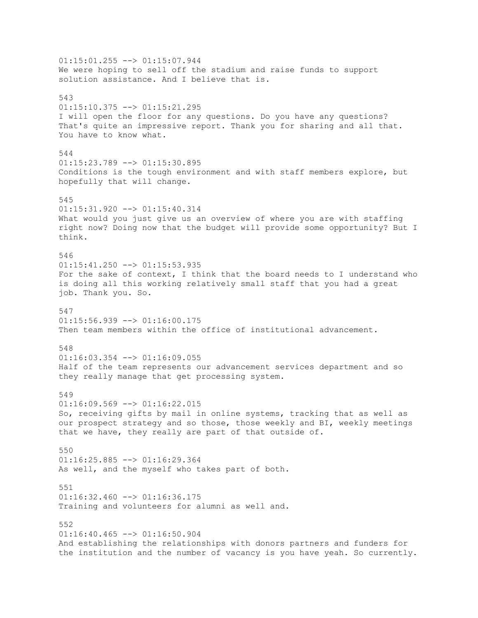$01:15:01.255$  -->  $01:15:07.944$ We were hoping to sell off the stadium and raise funds to support solution assistance. And I believe that is. 543  $01:15:10.375$  -->  $01:15:21.295$ I will open the floor for any questions. Do you have any questions? That's quite an impressive report. Thank you for sharing and all that. You have to know what. 544  $01:15:23.789$  -->  $01:15:30.895$ Conditions is the tough environment and with staff members explore, but hopefully that will change. 545 01:15:31.920 --> 01:15:40.314 What would you just give us an overview of where you are with staffing right now? Doing now that the budget will provide some opportunity? But I think. 546 01:15:41.250 --> 01:15:53.935 For the sake of context, I think that the board needs to I understand who is doing all this working relatively small staff that you had a great job. Thank you. So. 547  $01:15:56.939$  -->  $01:16:00.175$ Then team members within the office of institutional advancement. 548  $01:16:03.354$  -->  $01:16:09.055$ Half of the team represents our advancement services department and so they really manage that get processing system. 549  $01:16:09.569$  -->  $01:16:22.015$ So, receiving gifts by mail in online systems, tracking that as well as our prospect strategy and so those, those weekly and BI, weekly meetings that we have, they really are part of that outside of. 550 01:16:25.885 --> 01:16:29.364 As well, and the myself who takes part of both. 551  $01:16:32.460$  -->  $01:16:36.175$ Training and volunteers for alumni as well and. 552  $01:16:40.465$  -->  $01:16:50.904$ And establishing the relationships with donors partners and funders for the institution and the number of vacancy is you have yeah. So currently.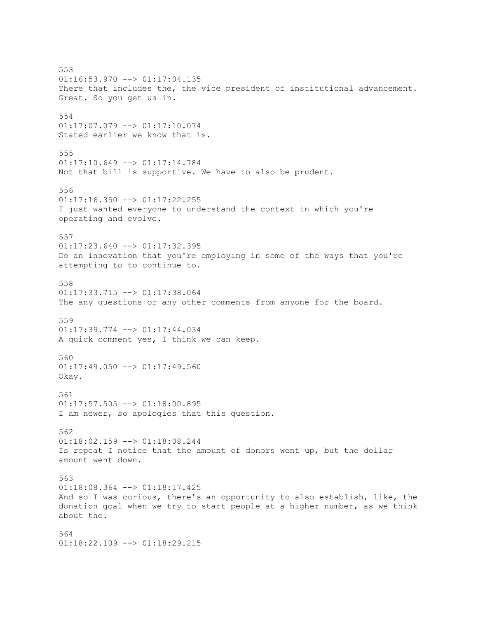553 01:16:53.970 --> 01:17:04.135 There that includes the, the vice president of institutional advancement. Great. So you get us in. 554 01:17:07.079 --> 01:17:10.074 Stated earlier we know that is. 555 01:17:10.649 --> 01:17:14.784 Not that bill is supportive. We have to also be prudent. 556  $01:17:16.350$  -->  $01:17:22.255$ I just wanted everyone to understand the context in which you're operating and evolve. 557  $01:17:23.640$  -->  $01:17:32.395$ Do an innovation that you're employing in some of the ways that you're attempting to to continue to. 558 01:17:33.715 --> 01:17:38.064 The any questions or any other comments from anyone for the board. 559 01:17:39.774 --> 01:17:44.034 A quick comment yes, I think we can keep. 560  $01:17:49.050$  -->  $01:17:49.560$ Okay. 561  $01:17:57.505$  -->  $01:18:00.895$ I am newer, so apologies that this question. 562 01:18:02.159 --> 01:18:08.244 Is repeat I notice that the amount of donors went up, but the dollar amount went down. 563 01:18:08.364 --> 01:18:17.425 And so I was curious, there's an opportunity to also establish, like, the donation goal when we try to start people at a higher number, as we think about the. 564 01:18:22.109 --> 01:18:29.215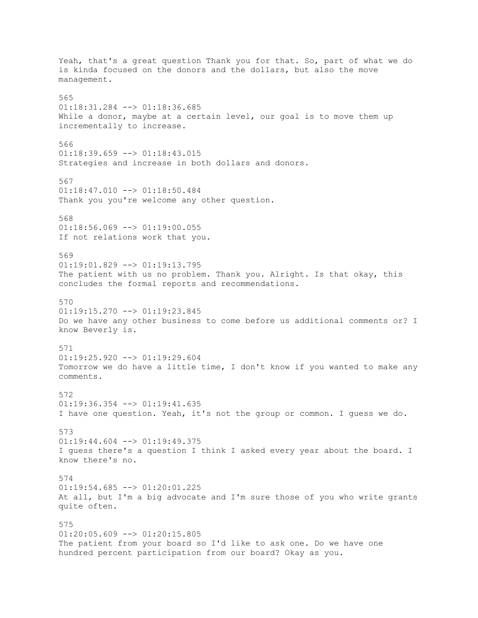Yeah, that's a great question Thank you for that. So, part of what we do is kinda focused on the donors and the dollars, but also the move management. 565 01:18:31.284 --> 01:18:36.685 While a donor, maybe at a certain level, our goal is to move them up incrementally to increase. 566 01:18:39.659 --> 01:18:43.015 Strategies and increase in both dollars and donors. 567 01:18:47.010 --> 01:18:50.484 Thank you you're welcome any other question. 568 01:18:56.069 --> 01:19:00.055 If not relations work that you. 569 01:19:01.829 --> 01:19:13.795 The patient with us no problem. Thank you. Alright. Is that okay, this concludes the formal reports and recommendations. 570  $01:19:15.270$   $\leftarrow$   $>$   $01:19:23.845$ Do we have any other business to come before us additional comments or? I know Beverly is. 571 01:19:25.920 --> 01:19:29.604 Tomorrow we do have a little time, I don't know if you wanted to make any comments. 572  $01:19:36.354$  -->  $01:19:41.635$ I have one question. Yeah, it's not the group or common. I guess we do. 573  $01:19:44.604$  -->  $01:19:49.375$ I guess there's a question I think I asked every year about the board. I know there's no. 574  $01:19:54.685$   $\leftarrow$   $>$   $01:20:01.225$ At all, but I'm a big advocate and I'm sure those of you who write grants quite often. 575  $01:20:05.609$  -->  $01:20:15.805$ The patient from your board so I'd like to ask one. Do we have one hundred percent participation from our board? Okay as you.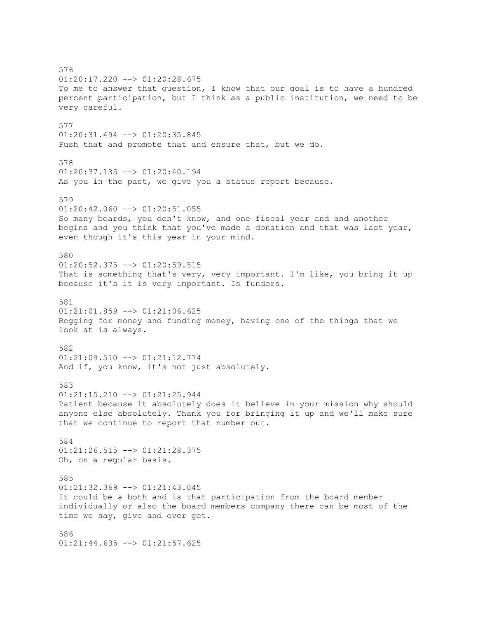576 01:20:17.220 --> 01:20:28.675 To me to answer that question, I know that our goal is to have a hundred percent participation, but I think as a public institution, we need to be very careful. 577 01:20:31.494 --> 01:20:35.845 Push that and promote that and ensure that, but we do. 578  $01:20:37.135$   $\longrightarrow$   $01:20:40.194$ As you in the past, we give you a status report because. 579 01:20:42.060 --> 01:20:51.055 So many boards, you don't know, and one fiscal year and and another begins and you think that you've made a donation and that was last year, even though it's this year in your mind. 580 01:20:52.375 --> 01:20:59.515 That is something that's very, very important. I'm like, you bring it up because it's it is very important. Is funders. 581 01:21:01.859 --> 01:21:06.625 Begging for money and funding money, having one of the things that we look at is always. 582 01:21:09.510 --> 01:21:12.774 And if, you know, it's not just absolutely. 583 01:21:15.210 --> 01:21:25.944 Patient because it absolutely does it believe in your mission why should anyone else absolutely. Thank you for bringing it up and we'll make sure that we continue to report that number out. 584 01:21:26.515 --> 01:21:28.375 Oh, on a regular basis. 585 01:21:32.369 --> 01:21:43.045 It could be a both and is that participation from the board member individually or also the board members company there can be most of the time we say, give and over get. 586 01:21:44.635 --> 01:21:57.625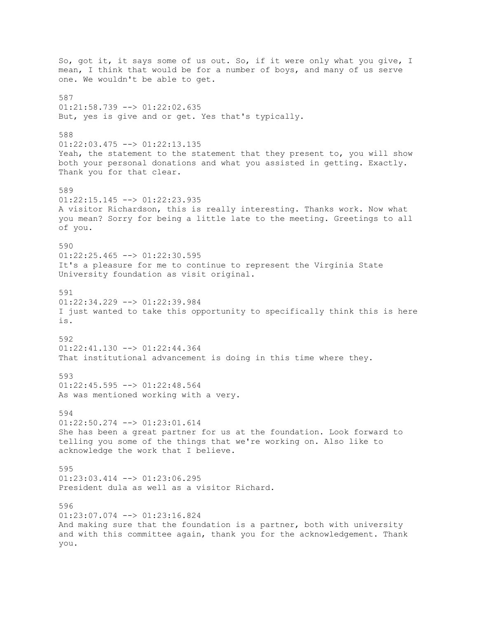So, got it, it says some of us out. So, if it were only what you give, I mean, I think that would be for a number of boys, and many of us serve one. We wouldn't be able to get. 587  $01:21:58.739$  -->  $01:22:02.635$ But, yes is give and or get. Yes that's typically. 588 01:22:03.475 --> 01:22:13.135 Yeah, the statement to the statement that they present to, you will show both your personal donations and what you assisted in getting. Exactly. Thank you for that clear. 589  $01:22:15.145$   $\leftarrow$   $01:22:23.935$ A visitor Richardson, this is really interesting. Thanks work. Now what you mean? Sorry for being a little late to the meeting. Greetings to all of you. 590  $01:22:25.465$   $\longrightarrow$   $01:22:30.595$ It's a pleasure for me to continue to represent the Virginia State University foundation as visit original. 591  $01:22:34.229$  -->  $01:22:39.984$ I just wanted to take this opportunity to specifically think this is here is. 592  $01:22:41.130$  -->  $01:22:44.364$ That institutional advancement is doing in this time where they. 593  $01:22:45.595$  -->  $01:22:48.564$ As was mentioned working with a very. 594 01:22:50.274 --> 01:23:01.614 She has been a great partner for us at the foundation. Look forward to telling you some of the things that we're working on. Also like to acknowledge the work that I believe. 595 01:23:03.414 --> 01:23:06.295 President dula as well as a visitor Richard. 596  $01:23:07.074$  -->  $01:23:16.824$ And making sure that the foundation is a partner, both with university and with this committee again, thank you for the acknowledgement. Thank you.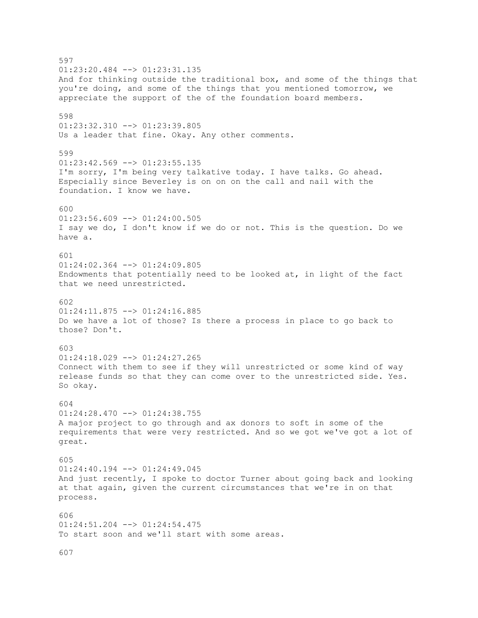597  $01:23:20.484$  -->  $01:23:31.135$ And for thinking outside the traditional box, and some of the things that you're doing, and some of the things that you mentioned tomorrow, we appreciate the support of the of the foundation board members. 598 01:23:32.310 --> 01:23:39.805 Us a leader that fine. Okay. Any other comments. 599  $01:23:42.569$  -->  $01:23:55.135$ I'm sorry, I'm being very talkative today. I have talks. Go ahead. Especially since Beverley is on on on the call and nail with the foundation. I know we have.  $600$ 01:23:56.609 --> 01:24:00.505 I say we do, I don't know if we do or not. This is the question. Do we have a. 601 01:24:02.364 --> 01:24:09.805 Endowments that potentially need to be looked at, in light of the fact that we need unrestricted. 602  $01:24:11.875$   $\leftarrow$   $>$   $01:24:16.885$ Do we have a lot of those? Is there a process in place to go back to those? Don't. 603 01:24:18.029 --> 01:24:27.265 Connect with them to see if they will unrestricted or some kind of way release funds so that they can come over to the unrestricted side. Yes. So okay. 604  $01:24:28.470$  -->  $01:24:38.755$ A major project to go through and ax donors to soft in some of the requirements that were very restricted. And so we got we've got a lot of great. 605  $01:24:40.194$  -->  $01:24:49.045$ And just recently, I spoke to doctor Turner about going back and looking at that again, given the current circumstances that we're in on that process. 606 01:24:51.204 --> 01:24:54.475 To start soon and we'll start with some areas.

607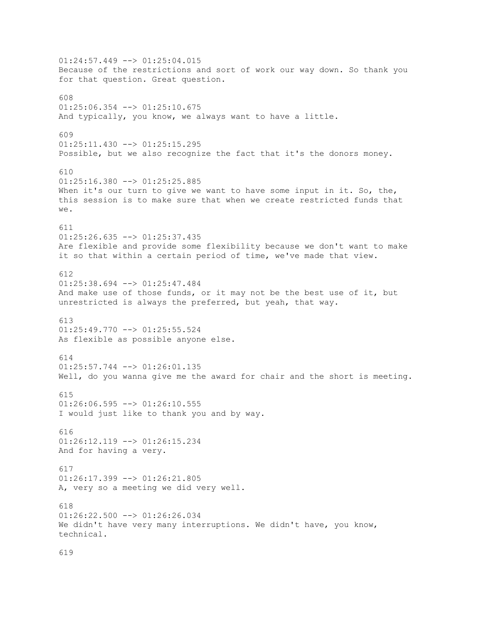$01:24:57.449$  -->  $01:25:04.015$ Because of the restrictions and sort of work our way down. So thank you for that question. Great question. 608  $01:25:06.354$  -->  $01:25:10.675$ And typically, you know, we always want to have a little. 609 01:25:11.430 --> 01:25:15.295 Possible, but we also recognize the fact that it's the donors money. 610 01:25:16.380 --> 01:25:25.885 When it's our turn to give we want to have some input in it. So, the, this session is to make sure that when we create restricted funds that we. 611  $01:25:26.635$  -->  $01:25:37.435$ Are flexible and provide some flexibility because we don't want to make it so that within a certain period of time, we've made that view. 612 01:25:38.694 --> 01:25:47.484 And make use of those funds, or it may not be the best use of it, but unrestricted is always the preferred, but yeah, that way. 613 01:25:49.770 --> 01:25:55.524 As flexible as possible anyone else. 614  $01:25:57.744$  -->  $01:26:01.135$ Well, do you wanna give me the award for chair and the short is meeting. 615  $01:26:06.595$  -->  $01:26:10.555$ I would just like to thank you and by way. 616 01:26:12.119 --> 01:26:15.234 And for having a very. 617 01:26:17.399 --> 01:26:21.805 A, very so a meeting we did very well. 618  $01:26:22.500$  -->  $01:26:26.034$ We didn't have very many interruptions. We didn't have, you know, technical.